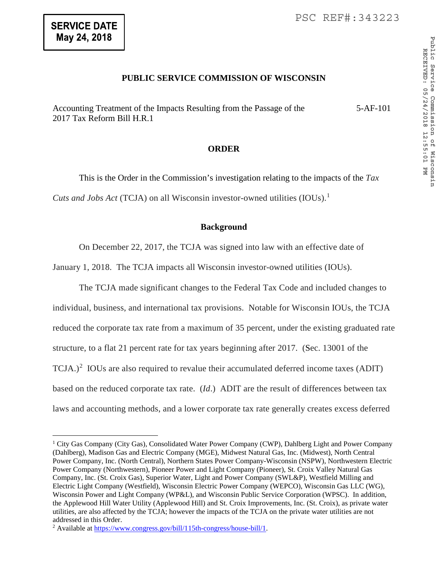$\overline{a}$ 

## **PUBLIC SERVICE COMMISSION OF WISCONSIN**

Accounting Treatment of the Impacts Resulting from the Passage of the 2017 Tax Reform Bill H.R.1 5-AF-101

## **ORDER**

This is the Order in the Commission's investigation relating to the impacts of the *Tax Cuts and Jobs Act* (TCJA) on all Wisconsin investor-owned utilities (IOUs).<sup>[1](#page-0-0)</sup>

## **Background**

On December 22, 2017, the TCJA was signed into law with an effective date of

January 1, 2018. The TCJA impacts all Wisconsin investor-owned utilities (IOUs).

The TCJA made significant changes to the Federal Tax Code and included changes to individual, business, and international tax provisions. Notable for Wisconsin IOUs, the TCJA reduced the corporate tax rate from a maximum of 35 percent, under the existing graduated rate structure, to a flat 21 percent rate for tax years beginning after 2017. (Sec. 13001 of the  $TCJA.)<sup>2</sup> IOUs are also required to revalue their accumulated deferred income taxes (ADIT)$  $TCJA.)<sup>2</sup> IOUs are also required to revalue their accumulated deferred income taxes (ADIT)$  $TCJA.)<sup>2</sup> IOUs are also required to revalue their accumulated deferred income taxes (ADIT)$ based on the reduced corporate tax rate. (*Id*.) ADIT are the result of differences between tax laws and accounting methods, and a lower corporate tax rate generally creates excess deferred

<span id="page-0-0"></span><sup>&</sup>lt;sup>1</sup> City Gas Company (City Gas), Consolidated Water Power Company (CWP), Dahlberg Light and Power Company (Dahlberg), Madison Gas and Electric Company (MGE), Midwest Natural Gas, Inc. (Midwest), North Central Power Company, Inc. (North Central), Northern States Power Company-Wisconsin (NSPW), Northwestern Electric Power Company (Northwestern), Pioneer Power and Light Company (Pioneer), St. Croix Valley Natural Gas Company, Inc. (St. Croix Gas), Superior Water, Light and Power Company (SWL&P), Westfield Milling and Electric Light Company (Westfield), Wisconsin Electric Power Company (WEPCO), Wisconsin Gas LLC (WG), Wisconsin Power and Light Company (WP&L), and Wisconsin Public Service Corporation (WPSC). In addition, the Applewood Hill Water Utility (Applewood Hill) and St. Croix Improvements, Inc. (St. Croix), as private water utilities, are also affected by the TCJA; however the impacts of the TCJA on the private water utilities are not addressed in this Order.

<span id="page-0-1"></span><sup>2</sup> Available at [https://www.congress.gov/bill/115th-congress/house-bill/1.](https://www.congress.gov/bill/115th-congress/house-bill/1)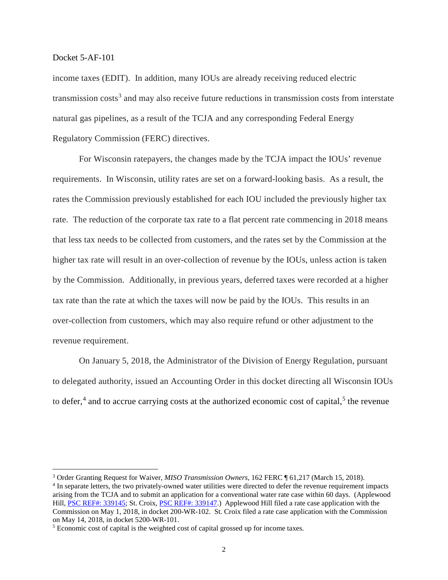income taxes (EDIT). In addition, many IOUs are already receiving reduced electric transmission costs<sup>[3](#page-1-0)</sup> and may also receive future reductions in transmission costs from interstate natural gas pipelines, as a result of the TCJA and any corresponding Federal Energy Regulatory Commission (FERC) directives.

For Wisconsin ratepayers, the changes made by the TCJA impact the IOUs' revenue requirements. In Wisconsin, utility rates are set on a forward-looking basis. As a result, the rates the Commission previously established for each IOU included the previously higher tax rate. The reduction of the corporate tax rate to a flat percent rate commencing in 2018 means that less tax needs to be collected from customers, and the rates set by the Commission at the higher tax rate will result in an over-collection of revenue by the IOUs, unless action is taken by the Commission. Additionally, in previous years, deferred taxes were recorded at a higher tax rate than the rate at which the taxes will now be paid by the IOUs. This results in an over-collection from customers, which may also require refund or other adjustment to the revenue requirement.

On January 5, 2018, the Administrator of the Division of Energy Regulation, pursuant to delegated authority, issued an Accounting Order in this docket directing all Wisconsin IOUs to defer,<sup>[4](#page-1-1)</sup> and to accrue carrying costs at the authorized economic cost of capital,<sup>[5](#page-1-2)</sup> the revenue

<span id="page-1-0"></span> <sup>3</sup> Order Granting Request for Waiver, *MISO Transmission Owners*, 162 FERC ¶ 61,217 (March 15, 2018).

<span id="page-1-1"></span><sup>4</sup> In separate letters, the two privately-owned water utilities were directed to defer the revenue requirement impacts arising from the TCJA and to submit an application for a conventional water rate case within 60 days. (Applewood Hill, [PSC REF#: 339145;](http://apps.psc.wi.gov/pages/viewdoc.htm?docid=%20339145) St. Croix, [PSC REF#: 339147.](http://apps.psc.wi.gov/pages/viewdoc.htm?docid=%20339147)) Applewood Hill filed a rate case application with the Commission on May 1, 2018, in docket 200-WR-102. St. Croix filed a rate case application with the Commission on May 14, 2018, in docket 5200-WR-101.

<span id="page-1-2"></span><sup>&</sup>lt;sup>5</sup> Economic cost of capital is the weighted cost of capital grossed up for income taxes.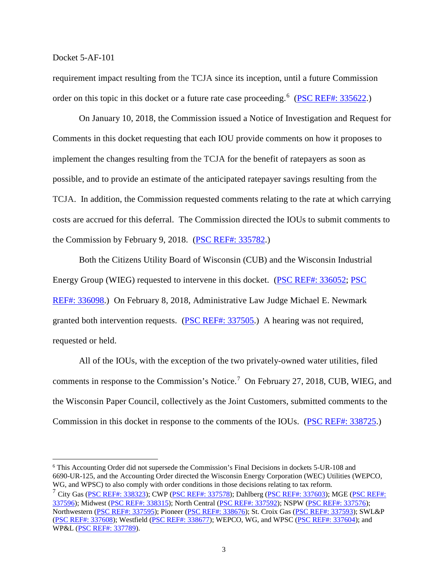requirement impact resulting from the TCJA since its inception, until a future Commission order on this topic in this docket or a future rate case proceeding.<sup>[6](#page-2-0)</sup> [\(PSC REF#: 335622.](http://apps.psc.wi.gov/pages/viewdoc.htm?docid=%20335622))

On January 10, 2018, the Commission issued a Notice of Investigation and Request for Comments in this docket requesting that each IOU provide comments on how it proposes to implement the changes resulting from the TCJA for the benefit of ratepayers as soon as possible, and to provide an estimate of the anticipated ratepayer savings resulting from the TCJA. In addition, the Commission requested comments relating to the rate at which carrying costs are accrued for this deferral. The Commission directed the IOUs to submit comments to the Commission by February 9, 2018. [\(PSC REF#: 335782.](http://apps.psc.wi.gov/pages/viewdoc.htm?docid=%20335782))

Both the Citizens Utility Board of Wisconsin (CUB) and the Wisconsin Industrial Energy Group (WIEG) requested to intervene in this docket. [\(PSC REF#: 336052;](http://apps.psc.wi.gov/pages/viewdoc.htm?docid=%20336052) [PSC](http://apps.psc.wi.gov/pages/viewdoc.htm?docid=%20336098)  REF#: [336098.](http://apps.psc.wi.gov/pages/viewdoc.htm?docid=%20336098)) On February 8, 2018, Administrative Law Judge Michael E. Newmark granted both intervention requests. [\(PSC REF#: 337505.](http://apps.psc.wi.gov/pages/viewdoc.htm?docid=%20337505)) A hearing was not required, requested or held.

All of the IOUs, with the exception of the two privately-owned water utilities, filed comments in response to the Commission's Notice.<sup>[7](#page-2-1)</sup> On February 27, 2018, CUB, WIEG, and the Wisconsin Paper Council, collectively as the Joint Customers, submitted comments to the Commission in this docket in response to the comments of the IOUs. [\(PSC REF#: 338725.](http://apps.psc.wi.gov/pages/viewdoc.htm?docid=%20338725))

<span id="page-2-0"></span> 6 This Accounting Order did not supersede the Commission's Final Decisions in dockets 5-UR-108 and 6690-UR-125, and the Accounting Order directed the Wisconsin Energy Corporation (WEC) Utilities (WEPCO, WG, and WPSC) to also comply with order conditions in those decisions relating to tax reform.

<span id="page-2-1"></span><sup>&</sup>lt;sup>7</sup> City Gas [\(PSC REF#: 338323\)](http://apps.psc.wi.gov/pages/viewdoc.htm?docid=%20338323); CWP [\(PSC REF#: 337578\)](http://apps.psc.wi.gov/pages/viewdoc.htm?docid=%20337578); Dahlberg [\(PSC REF#: 337603\)](http://apps.psc.wi.gov/pages/viewdoc.htm?docid=%20337603); MGE (PSC REF#: [337596\)](http://apps.psc.wi.gov/pages/viewdoc.htm?docid=%20337596); Midwest [\(PSC REF#: 338315\)](http://apps.psc.wi.gov/pages/viewdoc.htm?docid=%20338315); North Central [\(PSC REF#: 337592\)](http://apps.psc.wi.gov/pages/viewdoc.htm?docid=%20337592); NSPW [\(PSC REF#: 337576\)](http://apps.psc.wi.gov/pages/viewdoc.htm?docid=%20337576); Northwestern [\(PSC REF#: 337595\)](http://apps.psc.wi.gov/pages/viewdoc.htm?docid=%20337595); Pioneer [\(PSC REF#: 338676\)](http://apps.psc.wi.gov/pages/viewdoc.htm?docid=%20338676); St. Croix Gas [\(PSC REF#: 337593\)](http://apps.psc.wi.gov/pages/viewdoc.htm?docid=%20337593); SWL&P [\(PSC REF#: 337608\)](http://apps.psc.wi.gov/pages/viewdoc.htm?docid=%20337608); Westfield [\(PSC REF#: 338677\)](http://apps.psc.wi.gov/pages/viewdoc.htm?docid=%20338677); WEPCO, WG, and WPSC [\(PSC REF#: 337604\)](http://apps.psc.wi.gov/pages/viewdoc.htm?docid=%20337604); and WP&L [\(PSC REF#: 337789\)](http://apps.psc.wi.gov/pages/viewdoc.htm?docid=%20337789).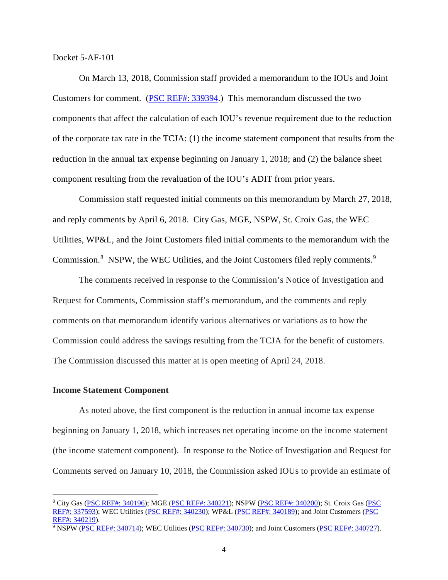On March 13, 2018, Commission staff provided a memorandum to the IOUs and Joint Customers for comment. [\(PSC REF#: 339394.](http://apps.psc.wi.gov/pages/viewdoc.htm?docid=%20339394)) This memorandum discussed the two components that affect the calculation of each IOU's revenue requirement due to the reduction of the corporate tax rate in the TCJA: (1) the income statement component that results from the reduction in the annual tax expense beginning on January 1, 2018; and (2) the balance sheet component resulting from the revaluation of the IOU's ADIT from prior years.

Commission staff requested initial comments on this memorandum by March 27, 2018, and reply comments by April 6, 2018. City Gas, MGE, NSPW, St. Croix Gas, the WEC Utilities, WP&L, and the Joint Customers filed initial comments to the memorandum with the Commission.<sup>[8](#page-3-0)</sup> NSPW, the WEC Utilities, and the Joint Customers filed reply comments.<sup>[9](#page-3-1)</sup>

The comments received in response to the Commission's Notice of Investigation and Request for Comments, Commission staff's memorandum, and the comments and reply comments on that memorandum identify various alternatives or variations as to how the Commission could address the savings resulting from the TCJA for the benefit of customers. The Commission discussed this matter at is open meeting of April 24, 2018.

#### **Income Statement Component**

As noted above, the first component is the reduction in annual income tax expense beginning on January 1, 2018, which increases net operating income on the income statement (the income statement component). In response to the Notice of Investigation and Request for Comments served on January 10, 2018, the Commission asked IOUs to provide an estimate of

<span id="page-3-0"></span> <sup>8</sup> City Gas [\(PSC REF#: 340196\)](http://apps.psc.wi.gov/pages/viewdoc.htm?docid=%20340196); MGE [\(PSC REF#: 340221\)](http://apps.psc.wi.gov/pages/viewdoc.htm?docid=%20340221); NSPW [\(PSC REF#: 340200\)](http://apps.psc.wi.gov/pages/viewdoc.htm?docid=%20340200); St. Croix Gas [\(PSC](http://apps.psc.wi.gov/pages/viewdoc.htm?docid=%20337593)  [REF#: 337593\)](http://apps.psc.wi.gov/pages/viewdoc.htm?docid=%20337593); WEC Utilities [\(PSC REF#: 340230\)](http://apps.psc.wi.gov/pages/viewdoc.htm?docid=%20340230); WP&L [\(PSC REF#: 340189\)](http://apps.psc.wi.gov/pages/viewdoc.htm?docid=%20340189); and Joint Customers (PSC [REF#: 340219\)](http://apps.psc.wi.gov/pages/viewdoc.htm?docid=%20340219).

<span id="page-3-1"></span><sup>9</sup> NSPW [\(PSC REF#: 340714\)](http://apps.psc.wi.gov/pages/viewdoc.htm?docid=%20340714); WEC Utilities [\(PSC REF#: 340730\)](http://apps.psc.wi.gov/pages/viewdoc.htm?docid=%20340730); and Joint Customers [\(PSC REF#: 340727\)](http://apps.psc.wi.gov/pages/viewdoc.htm?docid=%20340727).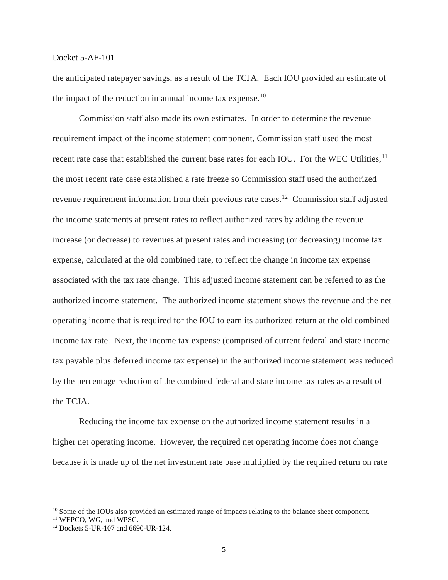the anticipated ratepayer savings, as a result of the TCJA. Each IOU provided an estimate of the impact of the reduction in annual income tax expense.<sup>10</sup>

Commission staff also made its own estimates. In order to determine the revenue requirement impact of the income statement component, Commission staff used the most recent rate case that established the current base rates for each IOU. For the WEC Utilities,<sup>[11](#page-4-1)</sup> the most recent rate case established a rate freeze so Commission staff used the authorized revenue requirement information from their previous rate cases.[12](#page-4-2) Commission staff adjusted the income statements at present rates to reflect authorized rates by adding the revenue increase (or decrease) to revenues at present rates and increasing (or decreasing) income tax expense, calculated at the old combined rate, to reflect the change in income tax expense associated with the tax rate change. This adjusted income statement can be referred to as the authorized income statement. The authorized income statement shows the revenue and the net operating income that is required for the IOU to earn its authorized return at the old combined income tax rate. Next, the income tax expense (comprised of current federal and state income tax payable plus deferred income tax expense) in the authorized income statement was reduced by the percentage reduction of the combined federal and state income tax rates as a result of the TCJA.

Reducing the income tax expense on the authorized income statement results in a higher net operating income. However, the required net operating income does not change because it is made up of the net investment rate base multiplied by the required return on rate

<span id="page-4-0"></span><sup>&</sup>lt;sup>10</sup> Some of the IOUs also provided an estimated range of impacts relating to the balance sheet component.

<span id="page-4-1"></span><sup>&</sup>lt;sup>11</sup> WEPCO, WG, and WPSC.

<span id="page-4-2"></span><sup>12</sup> Dockets 5-UR-107 and 6690-UR-124.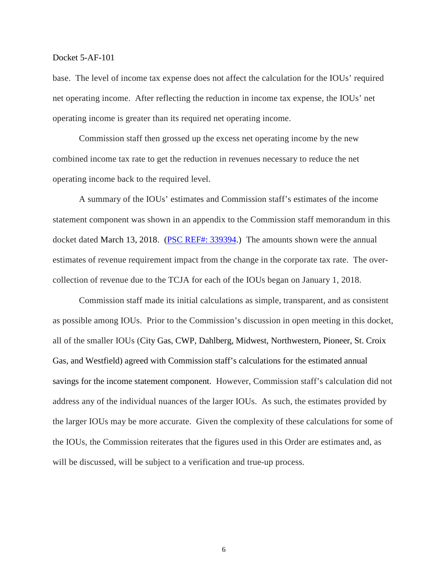base. The level of income tax expense does not affect the calculation for the IOUs' required net operating income. After reflecting the reduction in income tax expense, the IOUs' net operating income is greater than its required net operating income.

Commission staff then grossed up the excess net operating income by the new combined income tax rate to get the reduction in revenues necessary to reduce the net operating income back to the required level.

A summary of the IOUs' estimates and Commission staff's estimates of the income statement component was shown in an appendix to the Commission staff memorandum in this docket dated March 13, 2018. [\(PSC REF#: 339394.](http://apps.psc.wi.gov/pages/viewdoc.htm?docid=%20339394)) The amounts shown were the annual estimates of revenue requirement impact from the change in the corporate tax rate. The overcollection of revenue due to the TCJA for each of the IOUs began on January 1, 2018.

Commission staff made its initial calculations as simple, transparent, and as consistent as possible among IOUs. Prior to the Commission's discussion in open meeting in this docket, all of the smaller IOUs (City Gas, CWP, Dahlberg, Midwest, Northwestern, Pioneer, St. Croix Gas, and Westfield) agreed with Commission staff's calculations for the estimated annual savings for the income statement component. However, Commission staff's calculation did not address any of the individual nuances of the larger IOUs. As such, the estimates provided by the larger IOUs may be more accurate. Given the complexity of these calculations for some of the IOUs, the Commission reiterates that the figures used in this Order are estimates and, as will be discussed, will be subject to a verification and true-up process.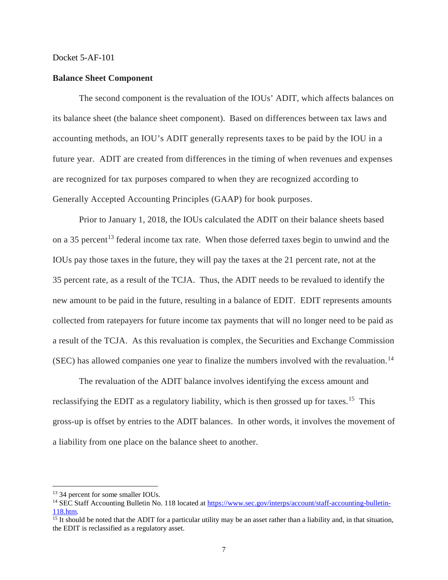#### **Balance Sheet Component**

The second component is the revaluation of the IOUs' ADIT, which affects balances on its balance sheet (the balance sheet component). Based on differences between tax laws and accounting methods, an IOU's ADIT generally represents taxes to be paid by the IOU in a future year. ADIT are created from differences in the timing of when revenues and expenses are recognized for tax purposes compared to when they are recognized according to Generally Accepted Accounting Principles (GAAP) for book purposes.

Prior to January 1, 2018, the IOUs calculated the ADIT on their balance sheets based on a 35 percent<sup>[13](#page-6-0)</sup> federal income tax rate. When those deferred taxes begin to unwind and the IOUs pay those taxes in the future, they will pay the taxes at the 21 percent rate, not at the 35 percent rate, as a result of the TCJA. Thus, the ADIT needs to be revalued to identify the new amount to be paid in the future, resulting in a balance of EDIT. EDIT represents amounts collected from ratepayers for future income tax payments that will no longer need to be paid as a result of the TCJA. As this revaluation is complex, the Securities and Exchange Commission  $(SEC)$  has allowed companies one year to finalize the numbers involved with the revaluation.<sup>[14](#page-6-1)</sup>

The revaluation of the ADIT balance involves identifying the excess amount and reclassifying the EDIT as a regulatory liability, which is then grossed up for taxes.<sup>15</sup> This gross-up is offset by entries to the ADIT balances. In other words, it involves the movement of a liability from one place on the balance sheet to another.

<span id="page-6-0"></span><sup>&</sup>lt;sup>13</sup> 34 percent for some smaller IOUs.

<span id="page-6-1"></span><sup>&</sup>lt;sup>14</sup> SEC Staff Accounting Bulletin No. 118 located a[t https://www.sec.gov/interps/account/staff-accounting-bulletin-](https://www.sec.gov/interps/account/staff-accounting-bulletin-118.htm)[118.htm.](https://www.sec.gov/interps/account/staff-accounting-bulletin-118.htm)

<span id="page-6-2"></span> $\frac{15 \text{ It should be noted that the ADIT for a particular utility may be an asset rather than a liability and, in that situation, }$ the EDIT is reclassified as a regulatory asset.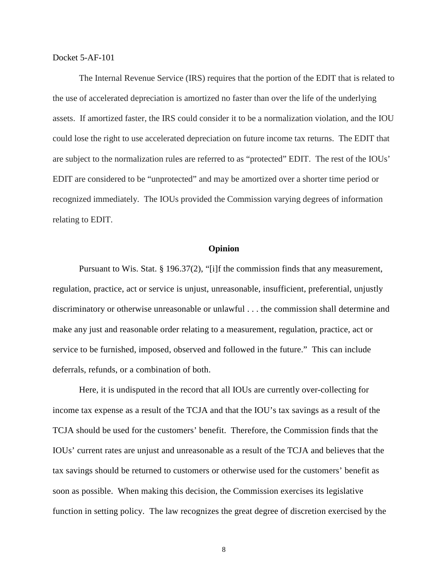The Internal Revenue Service (IRS) requires that the portion of the EDIT that is related to the use of accelerated depreciation is amortized no faster than over the life of the underlying assets. If amortized faster, the IRS could consider it to be a normalization violation, and the IOU could lose the right to use accelerated depreciation on future income tax returns. The EDIT that are subject to the normalization rules are referred to as "protected" EDIT. The rest of the IOUs' EDIT are considered to be "unprotected" and may be amortized over a shorter time period or recognized immediately. The IOUs provided the Commission varying degrees of information relating to EDIT.

#### **Opinion**

Pursuant to Wis. Stat. § 196.37(2), "[i]f the commission finds that any measurement, regulation, practice, act or service is unjust, unreasonable, insufficient, preferential, unjustly discriminatory or otherwise unreasonable or unlawful . . . the commission shall determine and make any just and reasonable order relating to a measurement, regulation, practice, act or service to be furnished, imposed, observed and followed in the future." This can include deferrals, refunds, or a combination of both.

Here, it is undisputed in the record that all IOUs are currently over-collecting for income tax expense as a result of the TCJA and that the IOU's tax savings as a result of the TCJA should be used for the customers' benefit. Therefore, the Commission finds that the IOUs' current rates are unjust and unreasonable as a result of the TCJA and believes that the tax savings should be returned to customers or otherwise used for the customers' benefit as soon as possible. When making this decision, the Commission exercises its legislative function in setting policy. The law recognizes the great degree of discretion exercised by the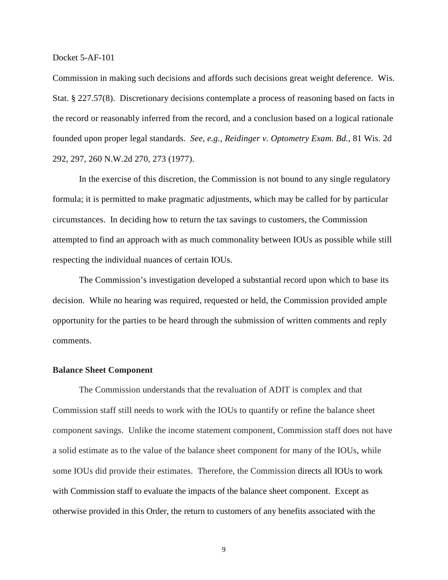Commission in making such decisions and affords such decisions great weight deference. Wis. Stat. § 227.57(8). Discretionary decisions contemplate a process of reasoning based on facts in the record or reasonably inferred from the record, and a conclusion based on a logical rationale founded upon proper legal standards. *See, e.g., Reidinger v. Optometry Exam. Bd.*, 81 Wis. 2d 292, 297, 260 N.W.2d 270, 273 (1977).

In the exercise of this discretion, the Commission is not bound to any single regulatory formula; it is permitted to make pragmatic adjustments, which may be called for by particular circumstances. In deciding how to return the tax savings to customers, the Commission attempted to find an approach with as much commonality between IOUs as possible while still respecting the individual nuances of certain IOUs.

The Commission's investigation developed a substantial record upon which to base its decision. While no hearing was required, requested or held, the Commission provided ample opportunity for the parties to be heard through the submission of written comments and reply comments.

#### **Balance Sheet Component**

The Commission understands that the revaluation of ADIT is complex and that Commission staff still needs to work with the IOUs to quantify or refine the balance sheet component savings. Unlike the income statement component, Commission staff does not have a solid estimate as to the value of the balance sheet component for many of the IOUs, while some IOUs did provide their estimates. Therefore, the Commission directs all IOUs to work with Commission staff to evaluate the impacts of the balance sheet component. Except as otherwise provided in this Order, the return to customers of any benefits associated with the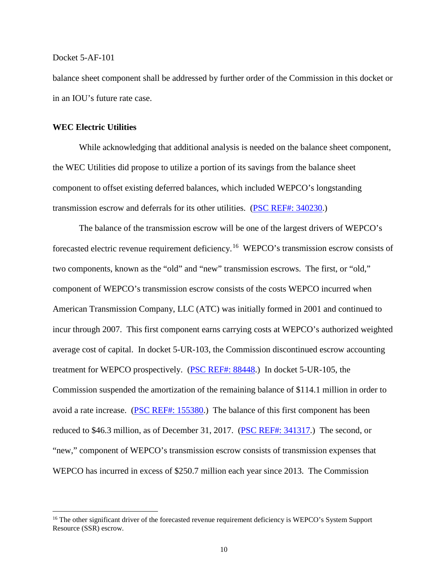balance sheet component shall be addressed by further order of the Commission in this docket or in an IOU's future rate case.

#### **WEC Electric Utilities**

While acknowledging that additional analysis is needed on the balance sheet component, the WEC Utilities did propose to utilize a portion of its savings from the balance sheet component to offset existing deferred balances, which included WEPCO's longstanding transmission escrow and deferrals for its other utilities. (PSC [REF#: 340230.](http://apps.psc.wi.gov/pages/viewdoc.htm?docid=%20340230))

The balance of the transmission escrow will be one of the largest drivers of WEPCO's forecasted electric revenue requirement deficiency.<sup>[16](#page-9-0)</sup> WEPCO's transmission escrow consists of two components, known as the "old" and "new" transmission escrows. The first, or "old," component of WEPCO's transmission escrow consists of the costs WEPCO incurred when American Transmission Company, LLC (ATC) was initially formed in 2001 and continued to incur through 2007. This first component earns carrying costs at WEPCO's authorized weighted average cost of capital. In docket 5-UR-103, the Commission discontinued escrow accounting treatment for WEPCO prospectively. [\(PSC REF#: 88448.](http://apps.psc.wi.gov/pages/viewdoc.htm?docid=%2088448)) In docket 5-UR-105, the Commission suspended the amortization of the remaining balance of \$114.1 million in order to avoid a rate increase. [\(PSC REF#: 155380.](http://apps.psc.wi.gov/pages/viewdoc.htm?docid=%20155380)) The balance of this first component has been reduced to \$46.3 million, as of December 31, 2017. [\(PSC REF#: 341317.](http://apps.psc.wi.gov/pages/viewdoc.htm?docid=%20341317)) The second, or "new," component of WEPCO's transmission escrow consists of transmission expenses that WEPCO has incurred in excess of \$250.7 million each year since 2013. The Commission

<span id="page-9-0"></span><sup>&</sup>lt;sup>16</sup> The other significant driver of the forecasted revenue requirement deficiency is WEPCO's System Support Resource (SSR) escrow.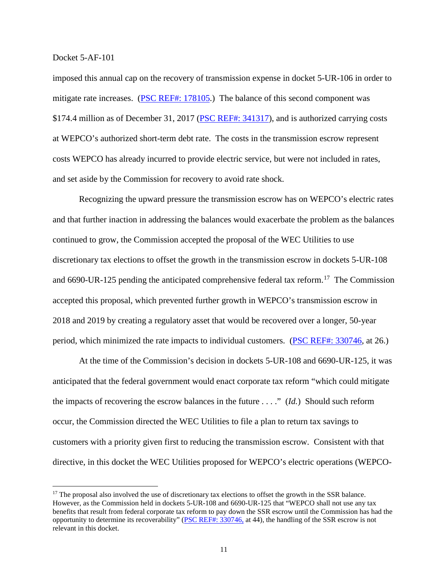imposed this annual cap on the recovery of transmission expense in docket 5-UR-106 in order to mitigate rate increases. [\(PSC REF#: 178105.](http://apps.psc.wi.gov/pages/viewdoc.htm?docid=%20178105)) The balance of this second component was \$174.4 million as of December 31, 2017 [\(PSC REF#: 341317\)](http://apps.psc.wi.gov/pages/viewdoc.htm?docid=%20341317), and is authorized carrying costs at WEPCO's authorized short-term debt rate. The costs in the transmission escrow represent costs WEPCO has already incurred to provide electric service, but were not included in rates, and set aside by the Commission for recovery to avoid rate shock.

Recognizing the upward pressure the transmission escrow has on WEPCO's electric rates and that further inaction in addressing the balances would exacerbate the problem as the balances continued to grow, the Commission accepted the proposal of the WEC Utilities to use discretionary tax elections to offset the growth in the transmission escrow in dockets 5-UR-108 and 6690-UR-125 pending the anticipated comprehensive federal tax reform.<sup>17</sup> The Commission accepted this proposal, which prevented further growth in WEPCO's transmission escrow in 2018 and 2019 by creating a regulatory asset that would be recovered over a longer, 50-year period, which minimized the rate impacts to individual customers. [\(PSC REF#: 330746,](http://apps.psc.wi.gov/pages/viewdoc.htm?docid=%20330746) at 26.)

At the time of the Commission's decision in dockets 5-UR-108 and 6690-UR-125, it was anticipated that the federal government would enact corporate tax reform "which could mitigate the impacts of recovering the escrow balances in the future . . . ." (*Id.*) Should such reform occur, the Commission directed the WEC Utilities to file a plan to return tax savings to customers with a priority given first to reducing the transmission escrow. Consistent with that directive, in this docket the WEC Utilities proposed for WEPCO's electric operations (WEPCO-

<span id="page-10-0"></span><sup>&</sup>lt;sup>17</sup> The proposal also involved the use of discretionary tax elections to offset the growth in the SSR balance. However, as the Commission held in dockets 5-UR-108 and 6690-UR-125 that "WEPCO shall not use any tax benefits that result from federal corporate tax reform to pay down the SSR escrow until the Commission has had the opportunity to determine its recoverability" [\(PSC REF#: 330746,](http://apps.psc.wi.gov/pages/viewdoc.htm?docid=%20330746) at 44), the handling of the SSR escrow is not relevant in this docket.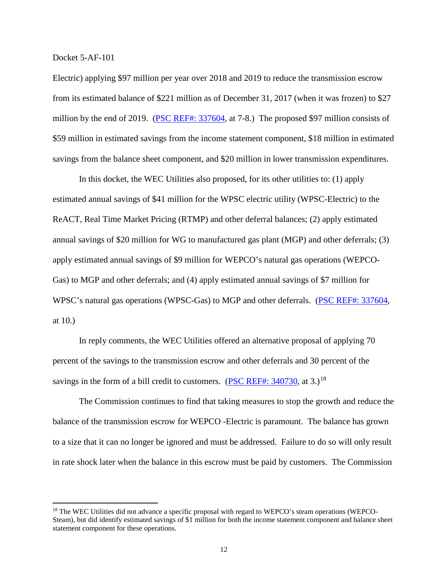Electric) applying \$97 million per year over 2018 and 2019 to reduce the transmission escrow from its estimated balance of \$221 million as of December 31, 2017 (when it was frozen) to \$27 million by the end of 2019. [\(PSC REF#: 337604,](http://apps.psc.wi.gov/pages/viewdoc.htm?docid=%20337604) at 7-8.) The proposed \$97 million consists of \$59 million in estimated savings from the income statement component, \$18 million in estimated savings from the balance sheet component, and \$20 million in lower transmission expenditures.

In this docket, the WEC Utilities also proposed, for its other utilities to: (1) apply estimated annual savings of \$41 million for the WPSC electric utility (WPSC-Electric) to the ReACT, Real Time Market Pricing (RTMP) and other deferral balances; (2) apply estimated annual savings of \$20 million for WG to manufactured gas plant (MGP) and other deferrals; (3) apply estimated annual savings of \$9 million for WEPCO's natural gas operations (WEPCO-Gas) to MGP and other deferrals; and (4) apply estimated annual savings of \$7 million for WPSC's natural gas operations (WPSC-Gas) to MGP and other deferrals. [\(PSC REF#: 337604,](http://apps.psc.wi.gov/pages/viewdoc.htm?docid=%20337604) at 10.)

In reply comments, the WEC Utilities offered an alternative proposal of applying 70 percent of the savings to the transmission escrow and other deferrals and 30 percent of the savings in the form of a bill credit to customers. (PSC REF#:  $340730$ , at 3.)<sup>[18](#page-11-0)</sup>

The Commission continues to find that taking measures to stop the growth and reduce the balance of the transmission escrow for WEPCO -Electric is paramount. The balance has grown to a size that it can no longer be ignored and must be addressed. Failure to do so will only result in rate shock later when the balance in this escrow must be paid by customers. The Commission

<span id="page-11-0"></span><sup>&</sup>lt;sup>18</sup> The WEC Utilities did not advance a specific proposal with regard to WEPCO's steam operations (WEPCO-Steam), but did identify estimated savings of \$1 million for both the income statement component and balance sheet statement component for these operations.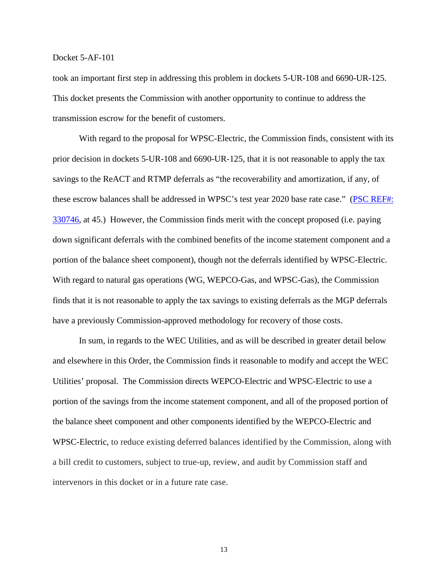took an important first step in addressing this problem in dockets 5-UR-108 and 6690-UR-125. This docket presents the Commission with another opportunity to continue to address the transmission escrow for the benefit of customers.

With regard to the proposal for WPSC-Electric, the Commission finds, consistent with its prior decision in dockets 5-UR-108 and 6690-UR-125, that it is not reasonable to apply the tax savings to the ReACT and RTMP deferrals as "the recoverability and amortization, if any, of these escrow balances shall be addressed in WPSC's test year 2020 base rate case." [\(PSC REF#:](http://apps.psc.wi.gov/pages/viewdoc.htm?docid=%20330746)  [330746,](http://apps.psc.wi.gov/pages/viewdoc.htm?docid=%20330746) at 45.) However, the Commission finds merit with the concept proposed (i.e. paying down significant deferrals with the combined benefits of the income statement component and a portion of the balance sheet component), though not the deferrals identified by WPSC-Electric. With regard to natural gas operations (WG, WEPCO-Gas, and WPSC-Gas), the Commission finds that it is not reasonable to apply the tax savings to existing deferrals as the MGP deferrals have a previously Commission-approved methodology for recovery of those costs.

In sum, in regards to the WEC Utilities, and as will be described in greater detail below and elsewhere in this Order, the Commission finds it reasonable to modify and accept the WEC Utilities' proposal. The Commission directs WEPCO-Electric and WPSC-Electric to use a portion of the savings from the income statement component, and all of the proposed portion of the balance sheet component and other components identified by the WEPCO-Electric and WPSC-Electric, to reduce existing deferred balances identified by the Commission, along with a bill credit to customers, subject to true-up, review, and audit by Commission staff and intervenors in this docket or in a future rate case.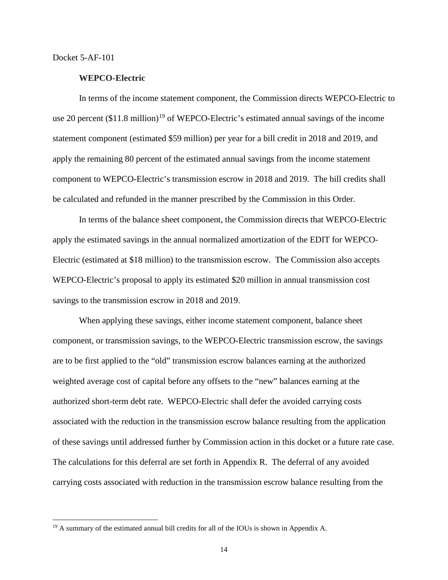#### **WEPCO-Electric**

In terms of the income statement component, the Commission directs WEPCO-Electric to use 20 percent  $(\$11.8 \text{ million})^{19}$  $(\$11.8 \text{ million})^{19}$  $(\$11.8 \text{ million})^{19}$  of WEPCO-Electric's estimated annual savings of the income statement component (estimated \$59 million) per year for a bill credit in 2018 and 2019, and apply the remaining 80 percent of the estimated annual savings from the income statement component to WEPCO-Electric's transmission escrow in 2018 and 2019. The bill credits shall be calculated and refunded in the manner prescribed by the Commission in this Order.

In terms of the balance sheet component, the Commission directs that WEPCO-Electric apply the estimated savings in the annual normalized amortization of the EDIT for WEPCO-Electric (estimated at \$18 million) to the transmission escrow. The Commission also accepts WEPCO-Electric's proposal to apply its estimated \$20 million in annual transmission cost savings to the transmission escrow in 2018 and 2019.

When applying these savings, either income statement component, balance sheet component, or transmission savings, to the WEPCO-Electric transmission escrow, the savings are to be first applied to the "old" transmission escrow balances earning at the authorized weighted average cost of capital before any offsets to the "new" balances earning at the authorized short-term debt rate. WEPCO-Electric shall defer the avoided carrying costs associated with the reduction in the transmission escrow balance resulting from the application of these savings until addressed further by Commission action in this docket or a future rate case. The calculations for this deferral are set forth in Appendix R. The deferral of any avoided carrying costs associated with reduction in the transmission escrow balance resulting from the

<span id="page-13-0"></span><sup>&</sup>lt;sup>19</sup> A summary of the estimated annual bill credits for all of the IOUs is shown in Appendix A.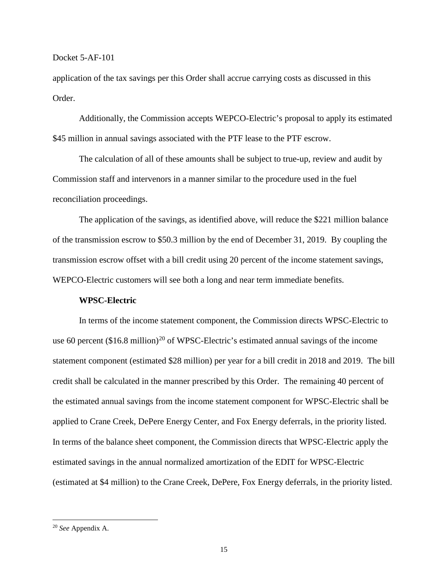application of the tax savings per this Order shall accrue carrying costs as discussed in this Order.

Additionally, the Commission accepts WEPCO-Electric's proposal to apply its estimated \$45 million in annual savings associated with the PTF lease to the PTF escrow.

The calculation of all of these amounts shall be subject to true-up, review and audit by Commission staff and intervenors in a manner similar to the procedure used in the fuel reconciliation proceedings.

The application of the savings, as identified above, will reduce the \$221 million balance of the transmission escrow to \$50.3 million by the end of December 31, 2019. By coupling the transmission escrow offset with a bill credit using 20 percent of the income statement savings, WEPCO-Electric customers will see both a long and near term immediate benefits.

#### **WPSC-Electric**

In terms of the income statement component, the Commission directs WPSC-Electric to use 60 percent  $(\$16.8 \text{ million})^{20}$  $(\$16.8 \text{ million})^{20}$  $(\$16.8 \text{ million})^{20}$  of WPSC-Electric's estimated annual savings of the income statement component (estimated \$28 million) per year for a bill credit in 2018 and 2019. The bill credit shall be calculated in the manner prescribed by this Order. The remaining 40 percent of the estimated annual savings from the income statement component for WPSC-Electric shall be applied to Crane Creek, DePere Energy Center, and Fox Energy deferrals, in the priority listed. In terms of the balance sheet component, the Commission directs that WPSC-Electric apply the estimated savings in the annual normalized amortization of the EDIT for WPSC-Electric (estimated at \$4 million) to the Crane Creek, DePere, Fox Energy deferrals, in the priority listed.

<span id="page-14-0"></span> <sup>20</sup> *See* Appendix A.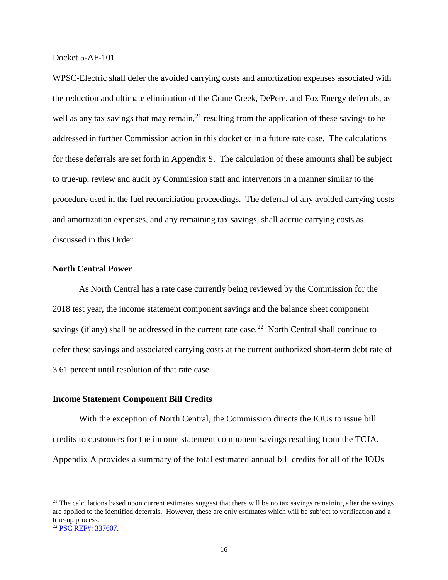WPSC-Electric shall defer the avoided carrying costs and amortization expenses associated with the reduction and ultimate elimination of the Crane Creek, DePere, and Fox Energy deferrals, as well as any tax savings that may remain,  $2<sup>1</sup>$  resulting from the application of these savings to be addressed in further Commission action in this docket or in a future rate case. The calculations for these deferrals are set forth in Appendix S. The calculation of these amounts shall be subject to true-up, review and audit by Commission staff and intervenors in a manner similar to the procedure used in the fuel reconciliation proceedings. The deferral of any avoided carrying costs and amortization expenses, and any remaining tax savings, shall accrue carrying costs as discussed in this Order.

#### **North Central Power**

As North Central has a rate case currently being reviewed by the Commission for the 2018 test year, the income statement component savings and the balance sheet component savings (if any) shall be addressed in the current rate case.<sup>[22](#page-15-1)</sup> North Central shall continue to defer these savings and associated carrying costs at the current authorized short-term debt rate of 3.61 percent until resolution of that rate case.

#### **Income Statement Component Bill Credits**

With the exception of North Central, the Commission directs the IOUs to issue bill credits to customers for the income statement component savings resulting from the TCJA. Appendix A provides a summary of the total estimated annual bill credits for all of the IOUs

<span id="page-15-1"></span><span id="page-15-0"></span> $21$  The calculations based upon current estimates suggest that there will be no tax savings remaining after the savings are applied to the identified deferrals. However, these are only estimates which will be subject to verification and a true-up process. <sup>22</sup> [PSC REF#: 337607.](http://apps.psc.wi.gov/pages/viewdoc.htm?docid=%20337607)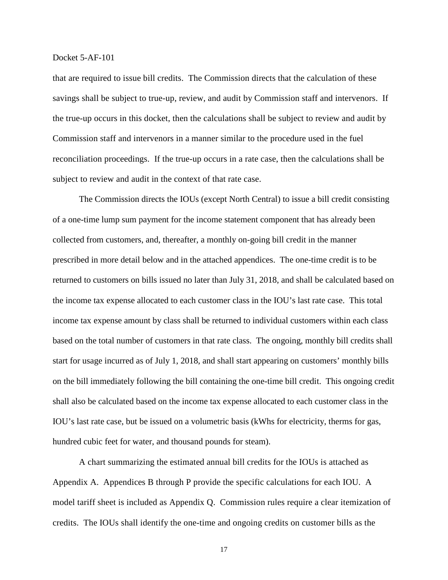that are required to issue bill credits. The Commission directs that the calculation of these savings shall be subject to true-up, review, and audit by Commission staff and intervenors. If the true-up occurs in this docket, then the calculations shall be subject to review and audit by Commission staff and intervenors in a manner similar to the procedure used in the fuel reconciliation proceedings. If the true-up occurs in a rate case, then the calculations shall be subject to review and audit in the context of that rate case.

The Commission directs the IOUs (except North Central) to issue a bill credit consisting of a one-time lump sum payment for the income statement component that has already been collected from customers, and, thereafter, a monthly on-going bill credit in the manner prescribed in more detail below and in the attached appendices. The one-time credit is to be returned to customers on bills issued no later than July 31, 2018, and shall be calculated based on the income tax expense allocated to each customer class in the IOU's last rate case. This total income tax expense amount by class shall be returned to individual customers within each class based on the total number of customers in that rate class. The ongoing, monthly bill credits shall start for usage incurred as of July 1, 2018, and shall start appearing on customers' monthly bills on the bill immediately following the bill containing the one-time bill credit. This ongoing credit shall also be calculated based on the income tax expense allocated to each customer class in the IOU's last rate case, but be issued on a volumetric basis (kWhs for electricity, therms for gas, hundred cubic feet for water, and thousand pounds for steam).

A chart summarizing the estimated annual bill credits for the IOUs is attached as Appendix A. Appendices B through P provide the specific calculations for each IOU. A model tariff sheet is included as Appendix Q. Commission rules require a clear itemization of credits. The IOUs shall identify the one-time and ongoing credits on customer bills as the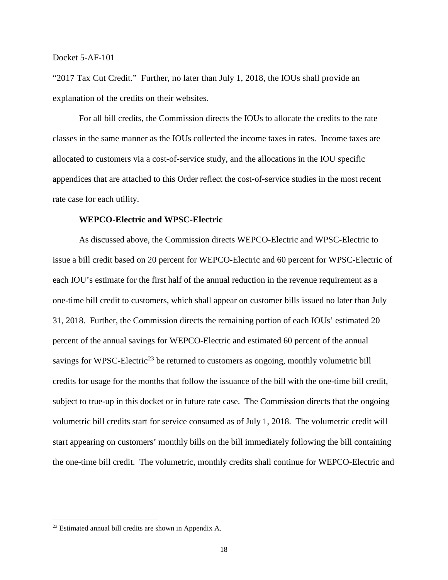"2017 Tax Cut Credit." Further, no later than July 1, 2018, the IOUs shall provide an explanation of the credits on their websites.

For all bill credits, the Commission directs the IOUs to allocate the credits to the rate classes in the same manner as the IOUs collected the income taxes in rates. Income taxes are allocated to customers via a cost-of-service study, and the allocations in the IOU specific appendices that are attached to this Order reflect the cost-of-service studies in the most recent rate case for each utility.

## **WEPCO-Electric and WPSC-Electric**

As discussed above, the Commission directs WEPCO-Electric and WPSC-Electric to issue a bill credit based on 20 percent for WEPCO-Electric and 60 percent for WPSC-Electric of each IOU's estimate for the first half of the annual reduction in the revenue requirement as a one-time bill credit to customers, which shall appear on customer bills issued no later than July 31, 2018. Further, the Commission directs the remaining portion of each IOUs' estimated 20 percent of the annual savings for WEPCO-Electric and estimated 60 percent of the annual savings for WPSC-Electric<sup>[23](#page-17-0)</sup> be returned to customers as ongoing, monthly volumetric bill credits for usage for the months that follow the issuance of the bill with the one-time bill credit, subject to true-up in this docket or in future rate case. The Commission directs that the ongoing volumetric bill credits start for service consumed as of July 1, 2018. The volumetric credit will start appearing on customers' monthly bills on the bill immediately following the bill containing the one-time bill credit. The volumetric, monthly credits shall continue for WEPCO-Electric and

<span id="page-17-0"></span> <sup>23</sup> Estimated annual bill credits are shown in Appendix A.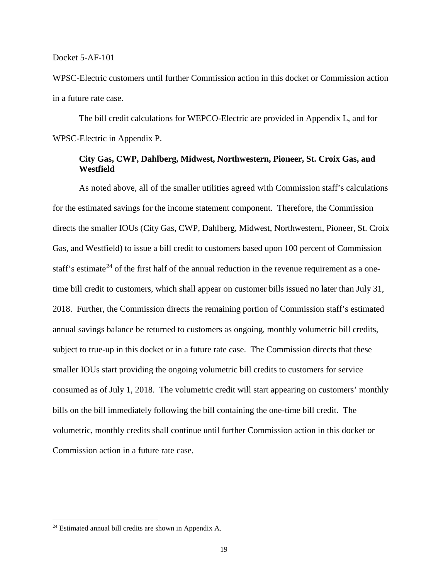WPSC-Electric customers until further Commission action in this docket or Commission action in a future rate case.

The bill credit calculations for WEPCO-Electric are provided in Appendix L, and for WPSC-Electric in Appendix P.

## **City Gas, CWP, Dahlberg, Midwest, Northwestern, Pioneer, St. Croix Gas, and Westfield**

As noted above, all of the smaller utilities agreed with Commission staff's calculations for the estimated savings for the income statement component. Therefore, the Commission directs the smaller IOUs (City Gas, CWP, Dahlberg, Midwest, Northwestern, Pioneer, St. Croix Gas, and Westfield) to issue a bill credit to customers based upon 100 percent of Commission staff's estimate<sup>[24](#page-18-0)</sup> of the first half of the annual reduction in the revenue requirement as a onetime bill credit to customers, which shall appear on customer bills issued no later than July 31, 2018. Further, the Commission directs the remaining portion of Commission staff's estimated annual savings balance be returned to customers as ongoing, monthly volumetric bill credits, subject to true-up in this docket or in a future rate case. The Commission directs that these smaller IOUs start providing the ongoing volumetric bill credits to customers for service consumed as of July 1, 2018. The volumetric credit will start appearing on customers' monthly bills on the bill immediately following the bill containing the one-time bill credit. The volumetric, monthly credits shall continue until further Commission action in this docket or Commission action in a future rate case.

<span id="page-18-0"></span> <sup>24</sup> Estimated annual bill credits are shown in Appendix A.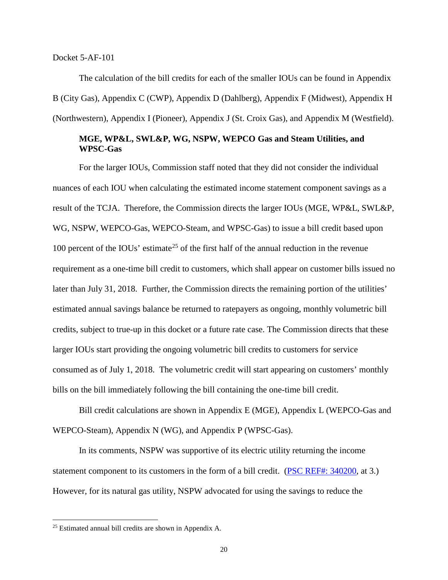The calculation of the bill credits for each of the smaller IOUs can be found in Appendix B (City Gas), Appendix C (CWP), Appendix D (Dahlberg), Appendix F (Midwest), Appendix H (Northwestern), Appendix I (Pioneer), Appendix J (St. Croix Gas), and Appendix M (Westfield).

## **MGE, WP&L, SWL&P, WG, NSPW, WEPCO Gas and Steam Utilities, and WPSC-Gas**

For the larger IOUs, Commission staff noted that they did not consider the individual nuances of each IOU when calculating the estimated income statement component savings as a result of the TCJA. Therefore, the Commission directs the larger IOUs (MGE, WP&L, SWL&P, WG, NSPW, WEPCO-Gas, WEPCO-Steam, and WPSC-Gas) to issue a bill credit based upon 100 percent of the IOUs' estimate<sup>[25](#page-19-0)</sup> of the first half of the annual reduction in the revenue requirement as a one-time bill credit to customers, which shall appear on customer bills issued no later than July 31, 2018. Further, the Commission directs the remaining portion of the utilities' estimated annual savings balance be returned to ratepayers as ongoing, monthly volumetric bill credits, subject to true-up in this docket or a future rate case. The Commission directs that these larger IOUs start providing the ongoing volumetric bill credits to customers for service consumed as of July 1, 2018. The volumetric credit will start appearing on customers' monthly bills on the bill immediately following the bill containing the one-time bill credit.

Bill credit calculations are shown in Appendix E (MGE), Appendix L (WEPCO-Gas and WEPCO-Steam), Appendix N (WG), and Appendix P (WPSC-Gas).

In its comments, NSPW was supportive of its electric utility returning the income statement component to its customers in the form of a bill credit. [\(PSC REF#: 340200,](http://apps.psc.wi.gov/pages/viewdoc.htm?docid=%20340200) at 3.) However, for its natural gas utility, NSPW advocated for using the savings to reduce the

<span id="page-19-0"></span> <sup>25</sup> Estimated annual bill credits are shown in Appendix A.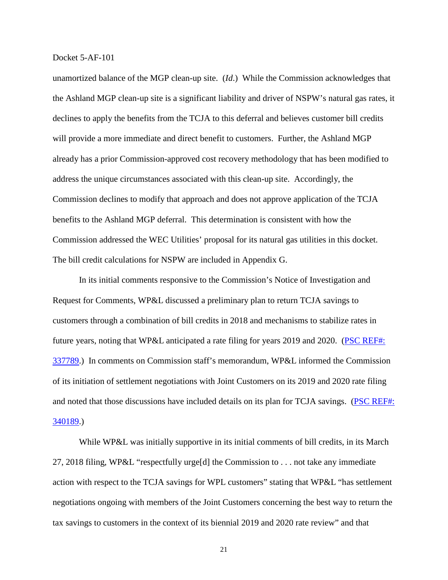unamortized balance of the MGP clean-up site. (*Id*.) While the Commission acknowledges that the Ashland MGP clean-up site is a significant liability and driver of NSPW's natural gas rates, it declines to apply the benefits from the TCJA to this deferral and believes customer bill credits will provide a more immediate and direct benefit to customers. Further, the Ashland MGP already has a prior Commission-approved cost recovery methodology that has been modified to address the unique circumstances associated with this clean-up site. Accordingly, the Commission declines to modify that approach and does not approve application of the TCJA benefits to the Ashland MGP deferral. This determination is consistent with how the Commission addressed the WEC Utilities' proposal for its natural gas utilities in this docket. The bill credit calculations for NSPW are included in Appendix G.

In its initial comments responsive to the Commission's Notice of Investigation and Request for Comments, WP&L discussed a preliminary plan to return TCJA savings to customers through a combination of bill credits in 2018 and mechanisms to stabilize rates in future years, noting that WP&L anticipated a rate filing for years 2019 and 2020. (PSC REF#: [337789.](http://apps.psc.wi.gov/pages/viewdoc.htm?docid=%20337789)) In comments on Commission staff's memorandum, WP&L informed the Commission of its initiation of settlement negotiations with Joint Customers on its 2019 and 2020 rate filing and noted that those discussions have included details on its plan for TCJA savings. (PSC REF#: [340189.](http://apps.psc.wi.gov/pages/viewdoc.htm?docid=%20340189))

While WP&L was initially supportive in its initial comments of bill credits, in its March 27, 2018 filing, WP&L "respectfully urge[d] the Commission to . . . not take any immediate action with respect to the TCJA savings for WPL customers" stating that WP&L "has settlement negotiations ongoing with members of the Joint Customers concerning the best way to return the tax savings to customers in the context of its biennial 2019 and 2020 rate review" and that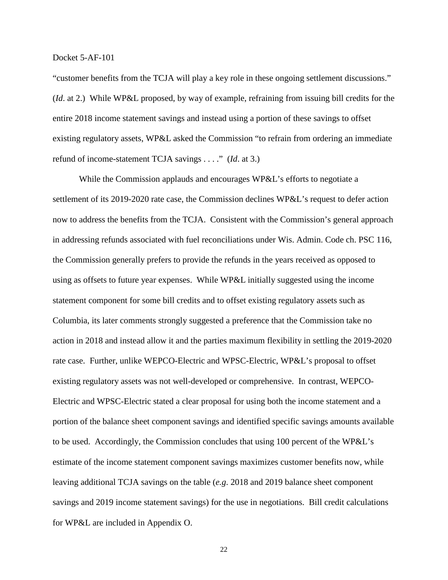"customer benefits from the TCJA will play a key role in these ongoing settlement discussions." (*Id*. at 2.) While WP&L proposed, by way of example, refraining from issuing bill credits for the entire 2018 income statement savings and instead using a portion of these savings to offset existing regulatory assets, WP&L asked the Commission "to refrain from ordering an immediate refund of income-statement TCJA savings . . . ." (*Id*. at 3.)

While the Commission applauds and encourages WP&L's efforts to negotiate a settlement of its 2019-2020 rate case, the Commission declines WP&L's request to defer action now to address the benefits from the TCJA. Consistent with the Commission's general approach in addressing refunds associated with fuel reconciliations under Wis. Admin. Code ch. PSC 116, the Commission generally prefers to provide the refunds in the years received as opposed to using as offsets to future year expenses. While WP&L initially suggested using the income statement component for some bill credits and to offset existing regulatory assets such as Columbia, its later comments strongly suggested a preference that the Commission take no action in 2018 and instead allow it and the parties maximum flexibility in settling the 2019-2020 rate case. Further, unlike WEPCO-Electric and WPSC-Electric, WP&L's proposal to offset existing regulatory assets was not well-developed or comprehensive. In contrast, WEPCO-Electric and WPSC-Electric stated a clear proposal for using both the income statement and a portion of the balance sheet component savings and identified specific savings amounts available to be used. Accordingly, the Commission concludes that using 100 percent of the WP&L's estimate of the income statement component savings maximizes customer benefits now, while leaving additional TCJA savings on the table (*e.g*. 2018 and 2019 balance sheet component savings and 2019 income statement savings) for the use in negotiations. Bill credit calculations for WP&L are included in Appendix O.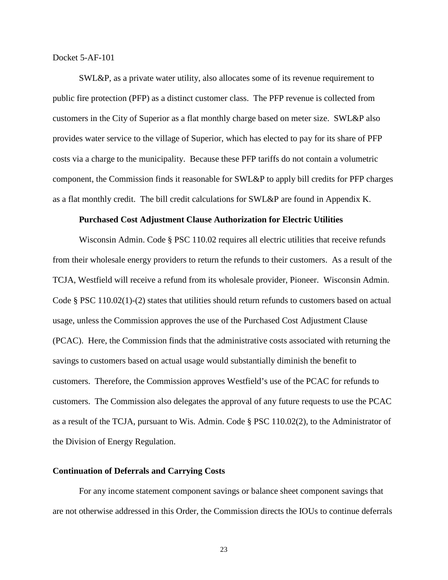SWL&P, as a private water utility, also allocates some of its revenue requirement to public fire protection (PFP) as a distinct customer class. The PFP revenue is collected from customers in the City of Superior as a flat monthly charge based on meter size. SWL&P also provides water service to the village of Superior, which has elected to pay for its share of PFP costs via a charge to the municipality. Because these PFP tariffs do not contain a volumetric component, the Commission finds it reasonable for SWL&P to apply bill credits for PFP charges as a flat monthly credit. The bill credit calculations for SWL&P are found in Appendix K.

#### **Purchased Cost Adjustment Clause Authorization for Electric Utilities**

Wisconsin Admin. Code § PSC 110.02 requires all electric utilities that receive refunds from their wholesale energy providers to return the refunds to their customers. As a result of the TCJA, Westfield will receive a refund from its wholesale provider, Pioneer. Wisconsin Admin. Code § PSC 110.02(1)-(2) states that utilities should return refunds to customers based on actual usage, unless the Commission approves the use of the Purchased Cost Adjustment Clause (PCAC). Here, the Commission finds that the administrative costs associated with returning the savings to customers based on actual usage would substantially diminish the benefit to customers. Therefore, the Commission approves Westfield's use of the PCAC for refunds to customers. The Commission also delegates the approval of any future requests to use the PCAC as a result of the TCJA, pursuant to Wis. Admin. Code § PSC 110.02(2), to the Administrator of the Division of Energy Regulation.

#### **Continuation of Deferrals and Carrying Costs**

For any income statement component savings or balance sheet component savings that are not otherwise addressed in this Order, the Commission directs the IOUs to continue deferrals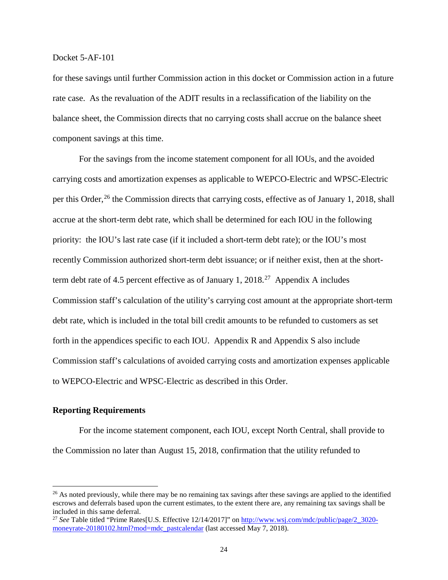for these savings until further Commission action in this docket or Commission action in a future rate case. As the revaluation of the ADIT results in a reclassification of the liability on the balance sheet, the Commission directs that no carrying costs shall accrue on the balance sheet component savings at this time.

For the savings from the income statement component for all IOUs, and the avoided carrying costs and amortization expenses as applicable to WEPCO-Electric and WPSC-Electric per this Order,<sup>[26](#page-23-0)</sup> the Commission directs that carrying costs, effective as of January 1, 2018, shall accrue at the short-term debt rate, which shall be determined for each IOU in the following priority: the IOU's last rate case (if it included a short-term debt rate); or the IOU's most recently Commission authorized short-term debt issuance; or if neither exist, then at the short-term debt rate of 4.5 percent effective as of January 1, 2018.<sup>[27](#page-23-1)</sup> Appendix A includes Commission staff's calculation of the utility's carrying cost amount at the appropriate short-term debt rate, which is included in the total bill credit amounts to be refunded to customers as set forth in the appendices specific to each IOU. Appendix R and Appendix S also include Commission staff's calculations of avoided carrying costs and amortization expenses applicable to WEPCO-Electric and WPSC-Electric as described in this Order.

#### **Reporting Requirements**

For the income statement component, each IOU, except North Central, shall provide to the Commission no later than August 15, 2018, confirmation that the utility refunded to

<span id="page-23-0"></span> $26$  As noted previously, while there may be no remaining tax savings after these savings are applied to the identified escrows and deferrals based upon the current estimates, to the extent there are, any remaining tax savings shall be included in this same deferral.

<span id="page-23-1"></span><sup>&</sup>lt;sup>27</sup> See Table titled "Prime Rates[U.S. Effective 12/14/2017]" on [http://www.wsj.com/mdc/public/page/2\\_3020](http://www.wsj.com/mdc/public/page/2_3020-moneyrate-20180102.html?mod=mdc_pastcalendar) [moneyrate-20180102.html?mod=mdc\\_pastcalendar](http://www.wsj.com/mdc/public/page/2_3020-moneyrate-20180102.html?mod=mdc_pastcalendar) (last accessed May 7, 2018).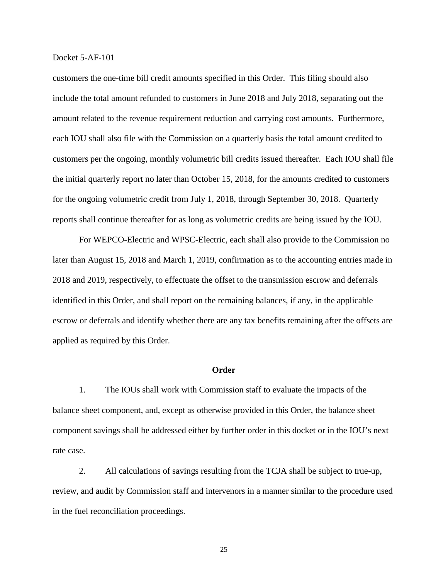customers the one-time bill credit amounts specified in this Order. This filing should also include the total amount refunded to customers in June 2018 and July 2018, separating out the amount related to the revenue requirement reduction and carrying cost amounts. Furthermore, each IOU shall also file with the Commission on a quarterly basis the total amount credited to customers per the ongoing, monthly volumetric bill credits issued thereafter. Each IOU shall file the initial quarterly report no later than October 15, 2018, for the amounts credited to customers for the ongoing volumetric credit from July 1, 2018, through September 30, 2018. Quarterly reports shall continue thereafter for as long as volumetric credits are being issued by the IOU.

For WEPCO-Electric and WPSC-Electric, each shall also provide to the Commission no later than August 15, 2018 and March 1, 2019, confirmation as to the accounting entries made in 2018 and 2019, respectively, to effectuate the offset to the transmission escrow and deferrals identified in this Order, and shall report on the remaining balances, if any, in the applicable escrow or deferrals and identify whether there are any tax benefits remaining after the offsets are applied as required by this Order.

#### **Order**

1. The IOUs shall work with Commission staff to evaluate the impacts of the balance sheet component, and, except as otherwise provided in this Order, the balance sheet component savings shall be addressed either by further order in this docket or in the IOU's next rate case.

2. All calculations of savings resulting from the TCJA shall be subject to true-up, review, and audit by Commission staff and intervenors in a manner similar to the procedure used in the fuel reconciliation proceedings.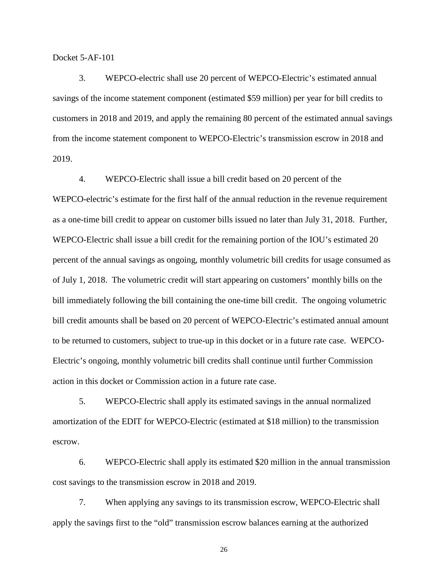3. WEPCO-electric shall use 20 percent of WEPCO-Electric's estimated annual savings of the income statement component (estimated \$59 million) per year for bill credits to customers in 2018 and 2019, and apply the remaining 80 percent of the estimated annual savings from the income statement component to WEPCO-Electric's transmission escrow in 2018 and 2019.

4. WEPCO-Electric shall issue a bill credit based on 20 percent of the WEPCO-electric's estimate for the first half of the annual reduction in the revenue requirement as a one-time bill credit to appear on customer bills issued no later than July 31, 2018. Further, WEPCO-Electric shall issue a bill credit for the remaining portion of the IOU's estimated 20 percent of the annual savings as ongoing, monthly volumetric bill credits for usage consumed as of July 1, 2018. The volumetric credit will start appearing on customers' monthly bills on the bill immediately following the bill containing the one-time bill credit. The ongoing volumetric bill credit amounts shall be based on 20 percent of WEPCO-Electric's estimated annual amount to be returned to customers, subject to true-up in this docket or in a future rate case. WEPCO-Electric's ongoing, monthly volumetric bill credits shall continue until further Commission action in this docket or Commission action in a future rate case.

5. WEPCO-Electric shall apply its estimated savings in the annual normalized amortization of the EDIT for WEPCO-Electric (estimated at \$18 million) to the transmission escrow.

6. WEPCO-Electric shall apply its estimated \$20 million in the annual transmission cost savings to the transmission escrow in 2018 and 2019.

7. When applying any savings to its transmission escrow, WEPCO-Electric shall apply the savings first to the "old" transmission escrow balances earning at the authorized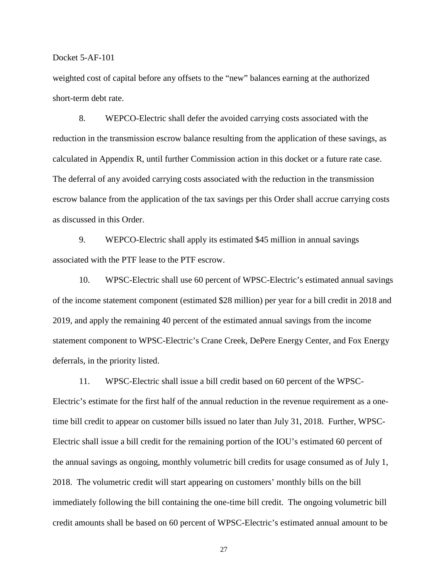weighted cost of capital before any offsets to the "new" balances earning at the authorized short-term debt rate.

8. WEPCO-Electric shall defer the avoided carrying costs associated with the reduction in the transmission escrow balance resulting from the application of these savings, as calculated in Appendix R, until further Commission action in this docket or a future rate case. The deferral of any avoided carrying costs associated with the reduction in the transmission escrow balance from the application of the tax savings per this Order shall accrue carrying costs as discussed in this Order.

9. WEPCO-Electric shall apply its estimated \$45 million in annual savings associated with the PTF lease to the PTF escrow.

10. WPSC-Electric shall use 60 percent of WPSC-Electric's estimated annual savings of the income statement component (estimated \$28 million) per year for a bill credit in 2018 and 2019, and apply the remaining 40 percent of the estimated annual savings from the income statement component to WPSC-Electric's Crane Creek, DePere Energy Center, and Fox Energy deferrals, in the priority listed.

11. WPSC-Electric shall issue a bill credit based on 60 percent of the WPSC-Electric's estimate for the first half of the annual reduction in the revenue requirement as a onetime bill credit to appear on customer bills issued no later than July 31, 2018. Further, WPSC-Electric shall issue a bill credit for the remaining portion of the IOU's estimated 60 percent of the annual savings as ongoing, monthly volumetric bill credits for usage consumed as of July 1, 2018. The volumetric credit will start appearing on customers' monthly bills on the bill immediately following the bill containing the one-time bill credit. The ongoing volumetric bill credit amounts shall be based on 60 percent of WPSC-Electric's estimated annual amount to be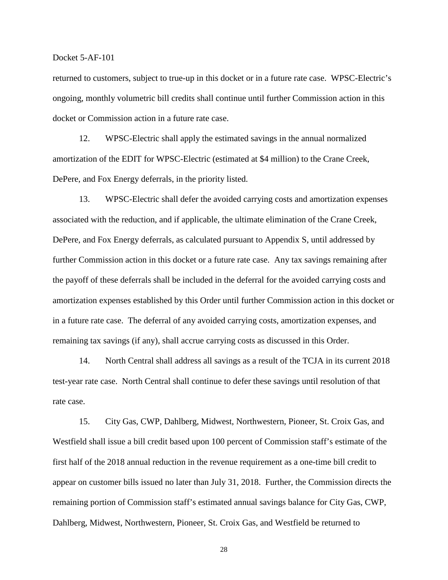returned to customers, subject to true-up in this docket or in a future rate case. WPSC-Electric's ongoing, monthly volumetric bill credits shall continue until further Commission action in this docket or Commission action in a future rate case.

12. WPSC-Electric shall apply the estimated savings in the annual normalized amortization of the EDIT for WPSC-Electric (estimated at \$4 million) to the Crane Creek, DePere, and Fox Energy deferrals, in the priority listed.

13. WPSC-Electric shall defer the avoided carrying costs and amortization expenses associated with the reduction, and if applicable, the ultimate elimination of the Crane Creek, DePere, and Fox Energy deferrals, as calculated pursuant to Appendix S, until addressed by further Commission action in this docket or a future rate case. Any tax savings remaining after the payoff of these deferrals shall be included in the deferral for the avoided carrying costs and amortization expenses established by this Order until further Commission action in this docket or in a future rate case. The deferral of any avoided carrying costs, amortization expenses, and remaining tax savings (if any), shall accrue carrying costs as discussed in this Order.

14. North Central shall address all savings as a result of the TCJA in its current 2018 test-year rate case. North Central shall continue to defer these savings until resolution of that rate case.

15. City Gas, CWP, Dahlberg, Midwest, Northwestern, Pioneer, St. Croix Gas, and Westfield shall issue a bill credit based upon 100 percent of Commission staff's estimate of the first half of the 2018 annual reduction in the revenue requirement as a one-time bill credit to appear on customer bills issued no later than July 31, 2018. Further, the Commission directs the remaining portion of Commission staff's estimated annual savings balance for City Gas, CWP, Dahlberg, Midwest, Northwestern, Pioneer, St. Croix Gas, and Westfield be returned to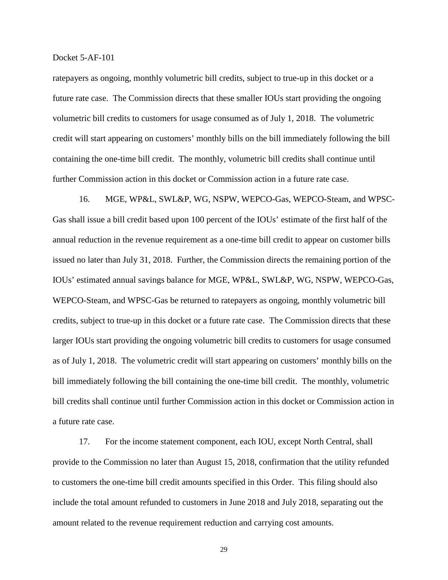ratepayers as ongoing, monthly volumetric bill credits, subject to true-up in this docket or a future rate case. The Commission directs that these smaller IOUs start providing the ongoing volumetric bill credits to customers for usage consumed as of July 1, 2018. The volumetric credit will start appearing on customers' monthly bills on the bill immediately following the bill containing the one-time bill credit. The monthly, volumetric bill credits shall continue until further Commission action in this docket or Commission action in a future rate case.

16. MGE, WP&L, SWL&P, WG, NSPW, WEPCO-Gas, WEPCO-Steam, and WPSC-Gas shall issue a bill credit based upon 100 percent of the IOUs' estimate of the first half of the annual reduction in the revenue requirement as a one-time bill credit to appear on customer bills issued no later than July 31, 2018. Further, the Commission directs the remaining portion of the IOUs' estimated annual savings balance for MGE, WP&L, SWL&P, WG, NSPW, WEPCO-Gas, WEPCO-Steam, and WPSC-Gas be returned to ratepayers as ongoing, monthly volumetric bill credits, subject to true-up in this docket or a future rate case. The Commission directs that these larger IOUs start providing the ongoing volumetric bill credits to customers for usage consumed as of July 1, 2018. The volumetric credit will start appearing on customers' monthly bills on the bill immediately following the bill containing the one-time bill credit. The monthly, volumetric bill credits shall continue until further Commission action in this docket or Commission action in a future rate case.

17. For the income statement component, each IOU, except North Central, shall provide to the Commission no later than August 15, 2018, confirmation that the utility refunded to customers the one-time bill credit amounts specified in this Order. This filing should also include the total amount refunded to customers in June 2018 and July 2018, separating out the amount related to the revenue requirement reduction and carrying cost amounts.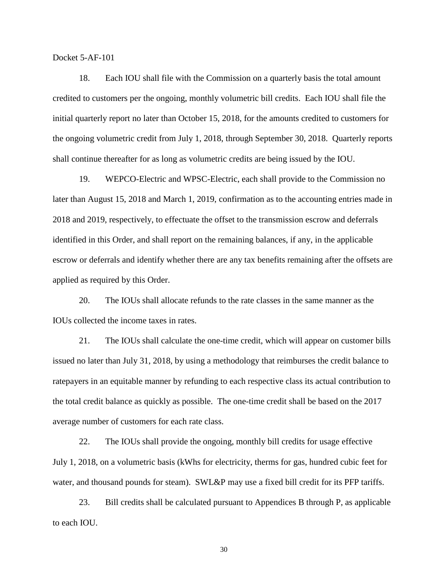18. Each IOU shall file with the Commission on a quarterly basis the total amount credited to customers per the ongoing, monthly volumetric bill credits. Each IOU shall file the initial quarterly report no later than October 15, 2018, for the amounts credited to customers for the ongoing volumetric credit from July 1, 2018, through September 30, 2018. Quarterly reports shall continue thereafter for as long as volumetric credits are being issued by the IOU.

19. WEPCO-Electric and WPSC-Electric, each shall provide to the Commission no later than August 15, 2018 and March 1, 2019, confirmation as to the accounting entries made in 2018 and 2019, respectively, to effectuate the offset to the transmission escrow and deferrals identified in this Order, and shall report on the remaining balances, if any, in the applicable escrow or deferrals and identify whether there are any tax benefits remaining after the offsets are applied as required by this Order.

20. The IOUs shall allocate refunds to the rate classes in the same manner as the IOUs collected the income taxes in rates.

21. The IOUs shall calculate the one-time credit, which will appear on customer bills issued no later than July 31, 2018, by using a methodology that reimburses the credit balance to ratepayers in an equitable manner by refunding to each respective class its actual contribution to the total credit balance as quickly as possible. The one-time credit shall be based on the 2017 average number of customers for each rate class.

22. The IOUs shall provide the ongoing, monthly bill credits for usage effective July 1, 2018, on a volumetric basis (kWhs for electricity, therms for gas, hundred cubic feet for water, and thousand pounds for steam). SWL&P may use a fixed bill credit for its PFP tariffs.

23. Bill credits shall be calculated pursuant to Appendices B through P, as applicable to each IOU.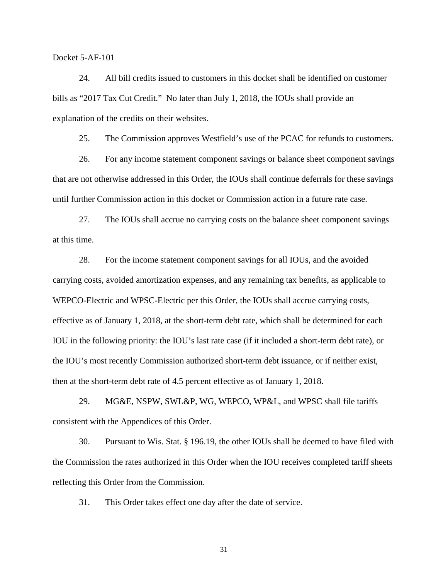24. All bill credits issued to customers in this docket shall be identified on customer bills as "2017 Tax Cut Credit." No later than July 1, 2018, the IOUs shall provide an explanation of the credits on their websites.

25. The Commission approves Westfield's use of the PCAC for refunds to customers.

26. For any income statement component savings or balance sheet component savings that are not otherwise addressed in this Order, the IOUs shall continue deferrals for these savings until further Commission action in this docket or Commission action in a future rate case.

27. The IOUs shall accrue no carrying costs on the balance sheet component savings at this time.

28. For the income statement component savings for all IOUs, and the avoided carrying costs, avoided amortization expenses, and any remaining tax benefits, as applicable to WEPCO-Electric and WPSC-Electric per this Order, the IOUs shall accrue carrying costs, effective as of January 1, 2018, at the short-term debt rate, which shall be determined for each IOU in the following priority: the IOU's last rate case (if it included a short-term debt rate), or the IOU's most recently Commission authorized short-term debt issuance, or if neither exist, then at the short-term debt rate of 4.5 percent effective as of January 1, 2018.

29. MG&E, NSPW, SWL&P, WG, WEPCO, WP&L, and WPSC shall file tariffs consistent with the Appendices of this Order.

30. Pursuant to Wis. Stat. § 196.19, the other IOUs shall be deemed to have filed with the Commission the rates authorized in this Order when the IOU receives completed tariff sheets reflecting this Order from the Commission.

31. This Order takes effect one day after the date of service.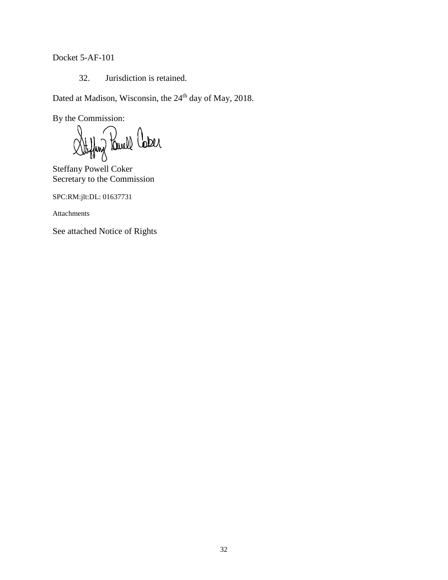32. Jurisdiction is retained.

Dated at Madison, Wisconsin, the 24<sup>th</sup> day of May, 2018.

By the Commission:

Stylang Pawell Caber

Steffany Powell Coker Secretary to the Commission

SPC:RM:jlt:DL: 01637731

Attachments

See attached Notice of Rights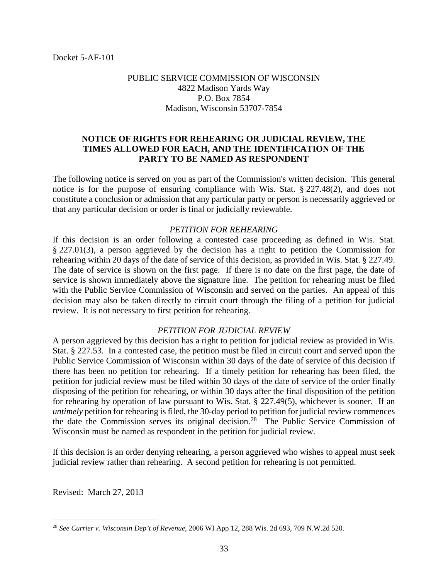## PUBLIC SERVICE COMMISSION OF WISCONSIN 4822 Madison Yards Way P.O. Box 7854 Madison, Wisconsin 53707-7854

## **NOTICE OF RIGHTS FOR REHEARING OR JUDICIAL REVIEW, THE TIMES ALLOWED FOR EACH, AND THE IDENTIFICATION OF THE PARTY TO BE NAMED AS RESPONDENT**

The following notice is served on you as part of the Commission's written decision. This general notice is for the purpose of ensuring compliance with Wis. Stat. § 227.48(2), and does not constitute a conclusion or admission that any particular party or person is necessarily aggrieved or that any particular decision or order is final or judicially reviewable.

## *PETITION FOR REHEARING*

If this decision is an order following a contested case proceeding as defined in Wis. Stat. § 227.01(3), a person aggrieved by the decision has a right to petition the Commission for rehearing within 20 days of the date of service of this decision, as provided in Wis. Stat. § 227.49. The date of service is shown on the first page. If there is no date on the first page, the date of service is shown immediately above the signature line. The petition for rehearing must be filed with the Public Service Commission of Wisconsin and served on the parties. An appeal of this decision may also be taken directly to circuit court through the filing of a petition for judicial review. It is not necessary to first petition for rehearing.

## *PETITION FOR JUDICIAL REVIEW*

A person aggrieved by this decision has a right to petition for judicial review as provided in Wis. Stat. § 227.53. In a contested case, the petition must be filed in circuit court and served upon the Public Service Commission of Wisconsin within 30 days of the date of service of this decision if there has been no petition for rehearing. If a timely petition for rehearing has been filed, the petition for judicial review must be filed within 30 days of the date of service of the order finally disposing of the petition for rehearing, or within 30 days after the final disposition of the petition for rehearing by operation of law pursuant to Wis. Stat. § 227.49(5), whichever is sooner. If an *untimely* petition for rehearing is filed, the 30-day period to petition for judicial review commences the date the Commission serves its original decision.[28](#page-32-0) The Public Service Commission of Wisconsin must be named as respondent in the petition for judicial review.

If this decision is an order denying rehearing, a person aggrieved who wishes to appeal must seek judicial review rather than rehearing. A second petition for rehearing is not permitted.

Revised: March 27, 2013

<span id="page-32-0"></span> <sup>28</sup> *See Currier v. Wisconsin Dep't of Revenue,* <sup>2006</sup> WI App 12, 288 Wis. 2d 693, 709 N.W.2d 520.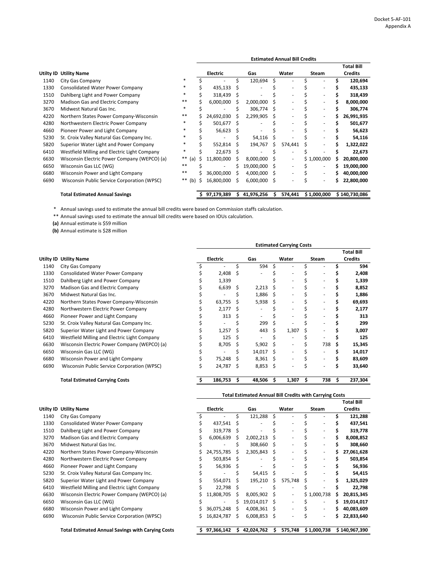\* Annual savings used to estimate the annual bill credits were based on Commission staffs calculation.

\*\* Annual savings used to estimate the annual bill credits were based on IOUs calculation.

**(a)** Annual estimate is \$59 million

**(b)** Annual estimate is \$28 million

|           |                                              |              | <b>Estimated Annual Bill Credits</b> |                 |     |            |    |                          |   |                          |   |                   |
|-----------|----------------------------------------------|--------------|--------------------------------------|-----------------|-----|------------|----|--------------------------|---|--------------------------|---|-------------------|
|           |                                              |              |                                      |                 |     |            |    |                          |   |                          |   | <b>Total Bill</b> |
| Utilty ID | <b>Utility Name</b>                          |              |                                      | <b>Electric</b> |     | Gas        |    | Water                    |   | <b>Steam</b>             |   | <b>Credits</b>    |
| 1140      | City Gas Company                             | $\ast$       |                                      |                 | \$  | 120,694    | \$ |                          |   |                          |   | 120,694           |
| 1330      | <b>Consolidated Water Power Company</b>      | $\ast$       |                                      | 435,133         |     |            |    |                          |   |                          |   | 435,133           |
| 1510      | Dahlberg Light and Power Company             | $\ast$       | S                                    | 318,439         | -S  |            |    |                          |   |                          |   | 318,439           |
| 3270      | <b>Madison Gas and Electric Company</b>      | $***$        |                                      | 6,000,000       | S   | 2,000,000  | S  |                          |   |                          | S | 8,000,000         |
| 3670      | Midwest Natural Gas Inc.                     | $\ast$       |                                      |                 |     | 306,774    | -S |                          |   |                          |   | 306,774           |
| 4220      | Northern States Power Company-Wisconsin      | $***$        |                                      | 24,692,030      |     | 2,299,905  | S  | $\overline{\phantom{0}}$ |   | $\overline{\phantom{a}}$ |   | 26,991,935        |
| 4280      | Northwestern Electric Power Company          | $\ast$       |                                      | 501,677         | - S |            |    |                          |   | $\overline{\phantom{a}}$ |   | 501,677           |
| 4660      | Pioneer Power and Light Company              | ∗            |                                      | 56,623          | Ŝ   |            |    |                          |   |                          |   | 56,623            |
| 5230      | St. Croix Valley Natural Gas Company Inc.    | *            |                                      |                 |     | 54,116     | Ŝ  |                          |   |                          |   | 54,116            |
| 5820      | Superior Water Light and Power Company       | ∗            |                                      | 552,814         |     | 194,767    | Ś  | 574,441                  | Ś | $\overline{\phantom{a}}$ |   | 1,322,022         |
| 6410      | Westfield Milling and Electric Light Company | ∗            |                                      | 22,673          | - S |            |    |                          |   |                          |   | 22,673            |
| 6630      | Wisconsin Electric Power Company (WEPCO) (a) | $***$<br>(a) | S                                    | 11,800,000      | S   | 8,000,000  | S  | $\overline{\phantom{a}}$ |   | \$1,000,000              | S | 20,800,000        |
| 6650      | Wisconsin Gas LLC (WG)                       | $***$        | Ś                                    |                 | S   | 19,000,000 | S  |                          |   |                          |   | 19,000,000        |
| 6680      | Wisconsin Power and Light Company            | $***$        |                                      | 36,000,000      |     | 4,000,000  | S  |                          |   | $\overline{\phantom{a}}$ |   | 40,000,000        |
| 6690      | Wisconsin Public Service Corporation (WPSC)  | **<br>(b)    | Ś                                    | 16,800,000      | S   | 6,000,000  | Ş  |                          |   | $\overline{\phantom{0}}$ |   | 22,800,000        |
|           | <b>Total Estimated Annual Savings</b>        |              |                                      | 97,179,389      |     | 41,976,256 | S  | 574,441                  |   | \$1,000,000              |   | \$140,730,086     |

|           |                                              | <b>Estimated Carrying Costs</b> |                 |   |            |    |       |   |                          |    |                   |  |
|-----------|----------------------------------------------|---------------------------------|-----------------|---|------------|----|-------|---|--------------------------|----|-------------------|--|
|           |                                              |                                 |                 |   |            |    |       |   |                          |    | <b>Total Bill</b> |  |
| Utilty ID | <b>Utility Name</b>                          |                                 | <b>Electric</b> |   | Gas        |    | Water |   | <b>Steam</b>             |    | <b>Credits</b>    |  |
| 1140      | City Gas Company                             |                                 |                 |   | 594        | Ŝ. |       |   |                          |    | 594               |  |
| 1330      | <b>Consolidated Water Power Company</b>      |                                 | 2,408           | S |            |    |       |   |                          |    | 2,408             |  |
| 1510      | Dahlberg Light and Power Company             |                                 | 1,339           |   |            |    |       |   |                          |    | 1,339             |  |
| 3270      | Madison Gas and Electric Company             |                                 | 6,639           | S | 2,213      |    |       |   |                          |    | 8,852             |  |
| 3670      | Midwest Natural Gas Inc.                     |                                 |                 |   | 1,886      |    |       |   |                          |    | 1,886             |  |
| 4220      | Northern States Power Company-Wisconsin      |                                 | 63,755          |   | 5,938      | \$ |       |   |                          |    | 69,693            |  |
| 4280      | Northwestern Electric Power Company          |                                 | 2,177           | S |            |    |       |   |                          |    | 2,177             |  |
| 4660      | Pioneer Power and Light Company              |                                 | 313             |   |            |    |       |   |                          |    | 313               |  |
| 5230      | St. Croix Valley Natural Gas Company Inc.    |                                 |                 |   | 299        |    |       |   |                          |    | 299               |  |
| 5820      | Superior Water Light and Power Company       |                                 | 1,257           |   | 443        | Ŝ. | 1,307 |   |                          |    | 3,007             |  |
| 6410      | Westfield Milling and Electric Light Company |                                 | 125             | S |            |    |       |   |                          |    | 125               |  |
| 6630      | Wisconsin Electric Power Company (WEPCO) (a) |                                 | 8,705           | S | 5,902      | S  |       |   | 738                      | S  | 15,345            |  |
| 6650      | Wisconsin Gas LLC (WG)                       |                                 |                 |   | 14,017     | -S |       |   |                          |    | 14,017            |  |
| 6680      | Wisconsin Power and Light Company            |                                 | 75,248          |   | 8,361      |    |       |   | $\overline{\phantom{0}}$ |    | 83,609            |  |
| 6690      | Wisconsin Public Service Corporation (WPSC)  | S                               | 24,787          | S | $8,853$ \$ |    |       |   |                          |    | 33,640            |  |
|           | <b>Total Estimated Carrying Costs</b>        |                                 | 186,753         | S | 48,506     |    | 1,307 | S | 738                      | \$ | 237,304           |  |

|      |                                         | <b>Total Estimated Annual Bill Credits with Carrying Costs</b> |                          |  |                          |  |                          |              |                          |  |                   |  |  |
|------|-----------------------------------------|----------------------------------------------------------------|--------------------------|--|--------------------------|--|--------------------------|--------------|--------------------------|--|-------------------|--|--|
|      |                                         |                                                                |                          |  |                          |  |                          |              |                          |  | <b>Total Bill</b> |  |  |
|      | <b>Utilty ID Utility Name</b>           |                                                                | <b>Electric</b>          |  | Gas                      |  | Water                    | <b>Steam</b> |                          |  | <b>Credits</b>    |  |  |
| 1140 | City Gas Company                        |                                                                | $\overline{\phantom{a}}$ |  | 121,288                  |  | $\overline{\phantom{0}}$ |              | $\overline{\phantom{a}}$ |  | 121,288           |  |  |
| 1330 | <b>Consolidated Water Power Company</b> |                                                                | 437,541                  |  | $\overline{\phantom{a}}$ |  | $\overline{\phantom{0}}$ |              |                          |  | 437,541           |  |  |
| 1510 | Dahlberg Light and Power Company        |                                                                | 319,778                  |  | $\overline{\phantom{a}}$ |  | $\overline{\phantom{0}}$ |              |                          |  | 319,778           |  |  |
| 3270 | <b>Madison Gas and Electric Company</b> |                                                                | 6,006,639                |  | 2.002.213                |  | $\overline{\phantom{a}}$ |              | -                        |  | 8,008,852         |  |  |
| 3670 | Midwest Natural Gas Inc.                |                                                                |                          |  | 308.660                  |  |                          |              |                          |  | 308,660           |  |  |

| 4220 | Northern States Power Company-Wisconsin            |
|------|----------------------------------------------------|
| 4280 | Northwestern Electric Power Company                |
| 4660 | Pioneer Power and Light Company                    |
| 5230 | St. Croix Valley Natural Gas Company Inc.          |
| 5820 | Superior Water Light and Power Company             |
| 6410 | Westfield Milling and Electric Light Company       |
| 6630 | Wisconsin Electric Power Company (WEPCO)           |
| 6650 | Wisconsin Gas LLC (WG)                             |
| 6680 | <b>Wisconsin Power and Light Company</b>           |
| 6690 | <b>Wisconsin Public Service Corporation (WPSC)</b> |
|      |                                                    |

| 4220 | Northern States Power Company-Wisconsin      | 24,755,785 |   | 2,305,843                |   |                          | $\overline{\phantom{a}}$ |   | 27,061,628 |
|------|----------------------------------------------|------------|---|--------------------------|---|--------------------------|--------------------------|---|------------|
| 4280 | Northwestern Electric Power Company          | 503,854    | S | $\overline{\phantom{0}}$ |   | $\overline{\phantom{a}}$ | $\overline{\phantom{a}}$ |   | 503,854    |
| 4660 | Pioneer Power and Light Company              | 56,936     | S | $\overline{\phantom{a}}$ |   | $\overline{\phantom{a}}$ |                          |   | 56,936     |
| 5230 | St. Croix Valley Natural Gas Company Inc.    | -          |   | $54,415$ \$              |   | $\overline{\phantom{0}}$ |                          |   | 54,415     |
| 5820 | Superior Water Light and Power Company       | 554,071    |   | 195,210                  | S | 575,748                  |                          |   | 1,325,029  |
| 6410 | Westfield Milling and Electric Light Company | 22,798     |   | $\overline{\phantom{0}}$ |   | $\overline{\phantom{0}}$ | $\overline{\phantom{0}}$ |   | 22,798     |
| 6630 | Wisconsin Electric Power Company (WEPCO) (a) | 11,808,705 |   | $8,005,902$ \$           |   |                          | \$1,000,738              | S | 20,815,345 |
| 6650 | Wisconsin Gas LLC (WG)                       | -          |   | 19,014,017 \$            |   |                          | $\overline{\phantom{0}}$ |   | 19,014,017 |
| 6680 | Wisconsin Power and Light Company            | 36,075,248 |   | $4,008,361$ \$           |   |                          | $\overline{\phantom{0}}$ |   | 40,083,609 |
| 6690 | Wisconsin Public Service Corporation (WPSC)  | 16,824,787 |   | 6,008,853                |   |                          | $\overline{\phantom{a}}$ |   | 22,833,640 |
|      |                                              |            |   |                          |   |                          |                          |   |            |

| $$97,366,142 \quad $42,024,762 \quad $575,748 \quad $1,000,738 \quad $140,967,390$ | <b>Total Estimated Annual Savings with Carying Costs</b> |  |  |  |  |  |  |
|------------------------------------------------------------------------------------|----------------------------------------------------------|--|--|--|--|--|--|
|------------------------------------------------------------------------------------|----------------------------------------------------------|--|--|--|--|--|--|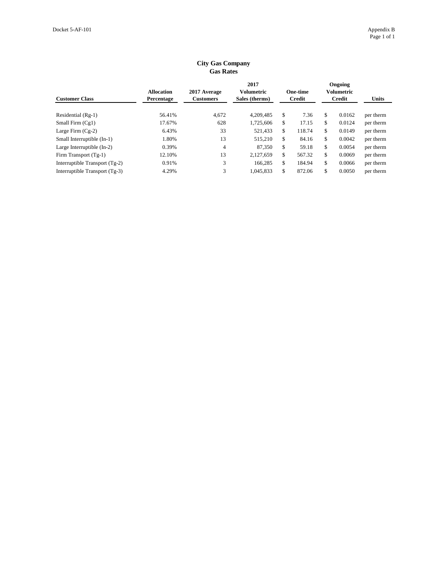| <b>Customer Class</b>          | <b>Allocation</b><br>Percentage | 2017 Average<br><b>Customers</b> | 2017<br>Volumetric<br>Sales (therms) | <b>One-time</b><br><b>Credit</b> | Ongoing<br>Volumetric<br><b>Credit</b> | <b>Units</b> |
|--------------------------------|---------------------------------|----------------------------------|--------------------------------------|----------------------------------|----------------------------------------|--------------|
| Residential (Rg-1)             | 56.41%                          | 4,672                            | 4,209,485                            | \$<br>7.36                       | \$<br>0.0162                           | per therm    |
| Small Firm $(Cg1)$             | 17.67%                          | 628                              | 1,725,606                            | \$<br>17.15                      | \$<br>0.0124                           | per therm    |
| Large Firm $(Cg-2)$            | 6.43%                           | 33                               | 521,433                              | \$<br>118.74                     | \$<br>0.0149                           | per therm    |
| Small Interruptible (In-1)     | 1.80%                           | 13                               | 515,210                              | \$<br>84.16                      | \$<br>0.0042                           | per therm    |
| Large Interruptible (In-2)     | 0.39%                           | 4                                | 87.350                               | \$<br>59.18                      | \$<br>0.0054                           | per therm    |
| Firm Transport (Tg-1)          | 12.10%                          | 13                               | 2.127.659                            | \$<br>567.32                     | \$<br>0.0069                           | per therm    |
| Interruptible Transport (Tg-2) | 0.91%                           | 3                                | 166,285                              | \$<br>184.94                     | \$<br>0.0066                           | per therm    |
| Interruptible Transport (Tg-3) | 4.29%                           | 3                                | 1,045,833                            | \$<br>872.06                     | \$<br>0.0050                           | per therm    |

## **City Gas Company Gas Rates**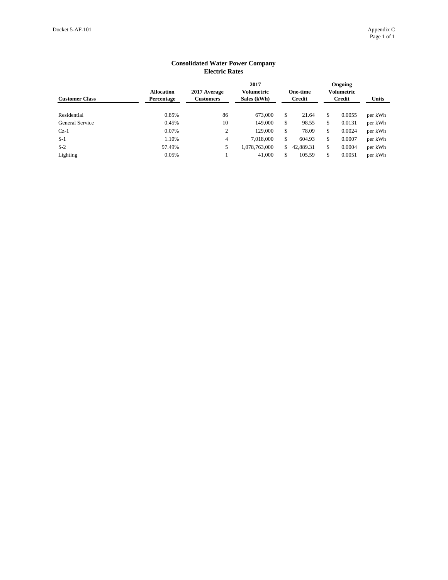| <b>Customer Class</b> | <b>Allocation</b><br>Percentage | 2017 Average<br><b>Customers</b> | 2017<br>Volumetric<br>Sales (kWh) | <b>One-time</b><br><b>Credit</b> |              | <b>Ongoing</b><br><b>Volumetric</b><br><b>Credit</b> | <b>Units</b> |
|-----------------------|---------------------------------|----------------------------------|-----------------------------------|----------------------------------|--------------|------------------------------------------------------|--------------|
| Residential           | 0.85%                           | 86                               | 673,000                           | \$<br>21.64                      | $\mathbb{S}$ | 0.0055                                               | per kWh      |
| General Service       | 0.45%                           | 10                               | 149,000                           | \$<br>98.55                      | \$           | 0.0131                                               | per kWh      |
| $Cz-1$                | 0.07%                           | 2                                | 129,000                           | \$<br>78.09                      | \$.          | 0.0024                                               | per kWh      |
| $S-1$                 | 1.10%                           | $\overline{4}$                   | 7,018,000                         | \$<br>604.93                     | \$.          | 0.0007                                               | per kWh      |
| $S-2$                 | 97.49%                          | 5                                | 1,078,763,000                     | \$<br>42,889.31                  | \$           | 0.0004                                               | per kWh      |
| Lighting              | 0.05%                           |                                  | 41,000                            | \$<br>105.59                     | \$           | 0.0051                                               | per kWh      |

## **Consolidated Water Power Company Electric Rates**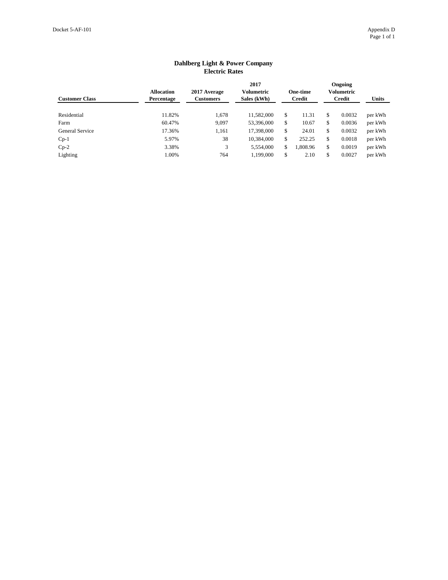| LIUULIU RAUUS         |                                        |                                  |                                          |     |                                  |              |                                        |              |
|-----------------------|----------------------------------------|----------------------------------|------------------------------------------|-----|----------------------------------|--------------|----------------------------------------|--------------|
| <b>Customer Class</b> | <b>Allocation</b><br><b>Percentage</b> | 2017 Average<br><b>Customers</b> | 2017<br><b>Volumetric</b><br>Sales (kWh) |     | <b>One-time</b><br><b>Credit</b> |              | Ongoing<br><b>Volumetric</b><br>Credit | <b>Units</b> |
| Residential           | 11.82%                                 | 1,678                            | 11,582,000                               | \$  | 11.31                            | \$           | 0.0032                                 | per kWh      |
| Farm                  | 60.47%                                 | 9,097                            | 53,396,000                               | \$  | 10.67                            | \$           | 0.0036                                 | per kWh      |
| General Service       | 17.36%                                 | 1,161                            | 17,398,000                               | \$  | 24.01                            | $\mathbb{S}$ | 0.0032                                 | per kWh      |
| $Cp-1$                | 5.97%                                  | 38                               | 10,384,000                               | \$  | 252.25                           | $\mathbb{S}$ | 0.0018                                 | per kWh      |
| $Cp-2$                | 3.38%                                  | 3                                | 5,554,000                                | \$. | 1,808.96                         | \$           | 0.0019                                 | per kWh      |
| Lighting              | 1.00%                                  | 764                              | 1,199,000                                | \$  | 2.10                             | \$           | 0.0027                                 | per kWh      |

## **Dahlberg Light & Power Company Electric Rates**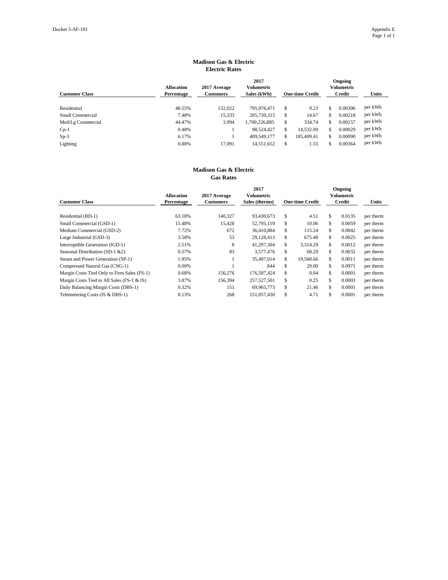| <b>Customer Class</b>   | <b>Allocation</b><br><b>Percentage</b> | 2017 Average<br><b>Customers</b> | 2017<br>Volumetric<br>Sales (kWh) |    | <b>One-time Credit</b> | <b>Ongoing</b><br><b>Volumetric</b><br><b>Credit</b> | <b>Units</b> |
|-------------------------|----------------------------------------|----------------------------------|-----------------------------------|----|------------------------|------------------------------------------------------|--------------|
| Residential             | 40.55%                                 | 132,022                          | 795,976,471                       | \$ | 9.23                   | 0.00306                                              | per kWh      |
| <b>Small Commercial</b> | 7.48%                                  | 15,333                           | 205,730,315                       | \$ | 14.67                  | \$<br>0.00218                                        | per kWh      |
| Med/Lg Commercial       | 44.47%                                 | 3,994                            | 1,700,226,885                     | \$ | 334.74                 | 0.00157                                              | per kWh      |
| $Cp-1$                  | 0.48%                                  |                                  | 98,524,427                        | \$ | 14,532.09              | \$<br>0.00029                                        | per kWh      |
| $Sp-3$                  | 6.17%                                  |                                  | 409,549,177                       | S  | 185,409.41             | 0.00090                                              | per kWh      |
| Lighting                | 0.88%                                  | 17.091                           | 14,551,652                        | \$ | 1.55                   | 0.00364                                              | per kWh      |

| <b>Customer Class</b>                       | <b>Allocation</b><br><b>Percentage</b> | 2017 Average<br><b>Customers</b> | 2017<br>Volumetric<br>Sales (therms) | <b>One-time Credit</b> | Ongoing<br>Volumetric<br><b>Credit</b> | <b>Units</b> |
|---------------------------------------------|----------------------------------------|----------------------------------|--------------------------------------|------------------------|----------------------------------------|--------------|
|                                             |                                        |                                  |                                      |                        |                                        |              |
| Residential (RD-1)                          | 63.18%                                 | 140,327                          | 93,430,673                           | \$<br>4.51             | \$<br>0.0135                           | per therm    |
| Small Commercial (GSD-1)                    | 15.48%                                 | 15,428                           | 52,795,159                           | \$<br>10.06            | \$<br>0.0059                           | per therm    |
| Medium Commercial (GSD-2)                   | 7.72%                                  | 672                              | 36,410,884                           | \$<br>115.24           | \$<br>0.0042                           | per therm    |
| Large Industrial (GSD-3)                    | 3.58%                                  | 53                               | 29,128,413                           | \$<br>675.48           | \$<br>0.0025                           | per therm    |
| Interruptible Generation (IGD-1)            | 2.51%                                  | 8                                | 41,297,304                           | \$<br>3,314.29         | \$<br>0.0012                           | per therm    |
| Seasonal Distribution (SD-1 &2)             | 0.57%                                  | 83                               | 3,577,476                            | \$<br>68.20            | \$<br>0.0032                           | per therm    |
| Steam and Power Generation (SP-1)           | 1.95%                                  |                                  | 35,497,014                           | \$<br>19,568.66        | \$<br>0.0011                           | per therm    |
| Compressed Natural Gas (CNG-1)              | 0.00%                                  |                                  | 844                                  | \$<br>29.00            | \$<br>0.0971                           | per therm    |
| Margin Costs Tied Only to Firm Sales (FS-1) | 0.68%                                  | 156,276                          | 176,587,424                          | \$<br>0.04             | \$<br>0.0001                           | per therm    |
| Margin Costs Tied to All Sales (FS-1 & IS)  | 3.87%                                  | 156,394                          | 257,527,501                          | \$<br>0.25             | \$<br>0.0003                           | per therm    |
| Daily Balancing Margin Costs (DBS-1)        | 0.32%                                  | 151                              | 69,965,773                           | \$<br>21.46            | \$<br>0.0001                           | per therm    |
| Telemetering Costs (IS & DBS-1)             | 0.13%                                  | 268                              | 151,057,430                          | \$<br>4.71             | \$<br>0.0001                           | per therm    |

## **Madison Gas & Electric Electric Rates**

## **Madison Gas & Electric Gas Rates**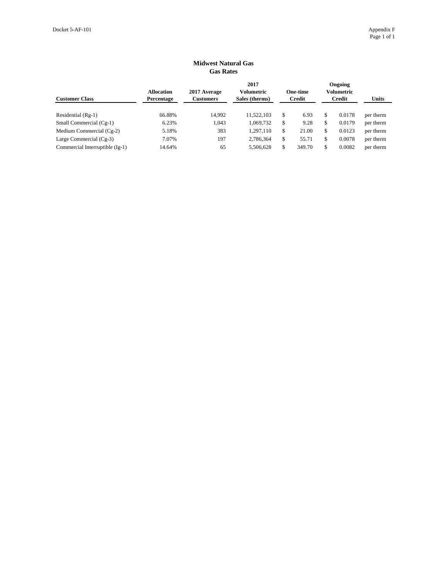| Gas Rates                       |                                        |                                  |                                             |    |                                  |    |                                        |              |  |
|---------------------------------|----------------------------------------|----------------------------------|---------------------------------------------|----|----------------------------------|----|----------------------------------------|--------------|--|
| <b>Customer Class</b>           | <b>Allocation</b><br><b>Percentage</b> | 2017 Average<br><b>Customers</b> | 2017<br><b>Volumetric</b><br>Sales (therms) |    | <b>One-time</b><br><b>Credit</b> |    | Ongoing<br>Volumetric<br><b>Credit</b> | <b>Units</b> |  |
| Residential $(Rg-1)$            | 66.88%                                 | 14,992                           | 11,522,103                                  | \$ | 6.93                             | \$ | 0.0178                                 | per therm    |  |
| Small Commercial (Cg-1)         | 6.23%                                  | 1.043                            | 1,069,732                                   | \$ | 9.28                             | \$ | 0.0179                                 | per therm    |  |
| Medium Commercial $(Cg-2)$      | 5.18%                                  | 383                              | 1,297,110                                   | \$ | 21.00                            | \$ | 0.0123                                 | per therm    |  |
| Large Commercial $(Cg-3)$       | 7.07%                                  | 197                              | 2,786,364                                   | \$ | 55.71                            | \$ | 0.0078                                 | per therm    |  |
| Commercial Interruptible (Ig-1) | 14.64%                                 | 65                               | 5,506,628                                   | \$ | 349.70                           | \$ | 0.0082                                 | per therm    |  |

## **Midwest Natural Gas Gas Rates**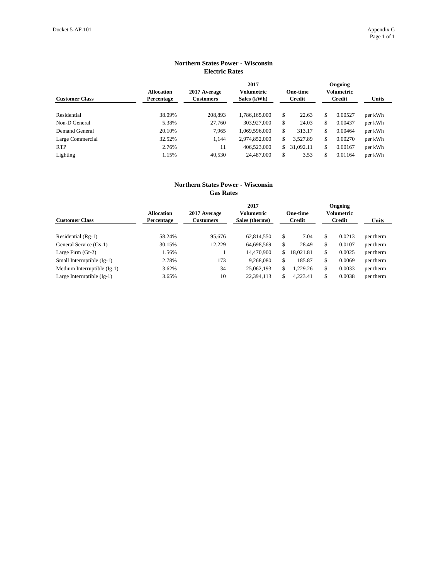| LIECUTIC Kates        |                                        |                                  |                                          |               |                                  |    |                                        |              |  |  |
|-----------------------|----------------------------------------|----------------------------------|------------------------------------------|---------------|----------------------------------|----|----------------------------------------|--------------|--|--|
| <b>Customer Class</b> | <b>Allocation</b><br><b>Percentage</b> | 2017 Average<br><b>Customers</b> | 2017<br><b>Volumetric</b><br>Sales (kWh) |               | <b>One-time</b><br><b>Credit</b> |    | Ongoing<br>Volumetric<br><b>Credit</b> | <b>Units</b> |  |  |
|                       |                                        |                                  |                                          |               |                                  |    |                                        |              |  |  |
| Residential           | 38.09%                                 | 208.893                          | 1,786,165,000                            | \$            | 22.63                            | \$ | 0.00527                                | per kWh      |  |  |
| Non-D General         | 5.38%                                  | 27,760                           | 303,927,000                              | \$            | 24.03                            | \$ | 0.00437                                | per kWh      |  |  |
| Demand General        | 20.10%                                 | 7,965                            | 1,069,596,000                            | \$            | 313.17                           | \$ | 0.00464                                | per kWh      |  |  |
| Large Commercial      | 32.52%                                 | 1,144                            | 2,974,852,000                            | \$            | 3,527.89                         | \$ | 0.00270                                | per kWh      |  |  |
| <b>RTP</b>            | 2.76%                                  | 11                               | 406,523,000                              | <sup>\$</sup> | 31,092.11                        | \$ | 0.00167                                | per kWh      |  |  |
| Lighting              | 1.15%                                  | 40,530                           | 24,487,000                               | \$            | 3.53                             | \$ | 0.01164                                | per kWh      |  |  |

## **Northern States Power - Wisconsin Electric Rates**

## **Northern States Power - Wisconsin Gas Rates**

| <b>Customer Class</b>        | <b>Allocation</b><br><b>Percentage</b> | 2017 Average<br>Customers | 2017<br><b>Volumetric</b><br>Sales (therms) |               | <b>One-time</b><br><b>Credit</b> | Ongoing<br>Volumetric<br><b>Credit</b> | Units     |
|------------------------------|----------------------------------------|---------------------------|---------------------------------------------|---------------|----------------------------------|----------------------------------------|-----------|
| Residential (Rg-1)           | 58.24%                                 | 95,676                    | 62,814,550                                  | <sup>\$</sup> | 7.04                             | \$<br>0.0213                           | per therm |
| General Service (Gs-1)       | 30.15%                                 | 12,229                    | 64,698,569                                  | \$            | 28.49                            | \$<br>0.0107                           | per therm |
| Large Firm $(St-2)$          | 1.56%                                  |                           | 14,470,900                                  | \$.           | 18.021.81                        | \$<br>0.0025                           | per therm |
| Small Interruptible (Ig-1)   | 2.78%                                  | 173                       | 9,268,080                                   | \$.           | 185.87                           | \$<br>0.0069                           | per therm |
| Medium Interruptible (Ig-1)  | 3.62%                                  | 34                        | 25,062,193                                  | \$            | 1,229.26                         | \$<br>0.0033                           | per therm |
| Large Interruptible $(Ig-1)$ | 3.65%                                  | 10                        | 22,394,113                                  | \$            | 4,223.41                         | \$<br>0.0038                           | per therm |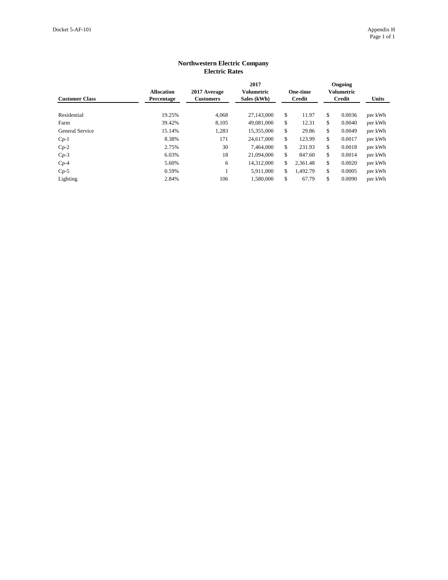| <b>Customer Class</b> | <b>Allocation</b><br>Percentage | 2017 Average<br><b>Customers</b> | 2017<br><b>Volumetric</b><br>Sales (kWh) |    | <b>One-time</b><br><b>Credit</b> |    | Ongoing<br>Volumetric<br><b>Credit</b> | <b>Units</b> |  |  |  |  |
|-----------------------|---------------------------------|----------------------------------|------------------------------------------|----|----------------------------------|----|----------------------------------------|--------------|--|--|--|--|
| Residential           | 19.25%                          | 4,068                            | 27,143,000                               | \$ | 11.97                            | \$ | 0.0036                                 | per kWh      |  |  |  |  |
| Farm                  | 39.42%                          | 8,105                            | 49,081,000                               | \$ | 12.31                            | \$ | 0.0040                                 | per kWh      |  |  |  |  |
| General Service       | 15.14%                          | 1,283                            | 15,355,000                               | \$ | 29.86                            | \$ | 0.0049                                 | per kWh      |  |  |  |  |
| $Cp-1$                | 8.38%                           | 171                              | 24,617,000                               | \$ | 123.99                           | \$ | 0.0017                                 | per kWh      |  |  |  |  |
| $Cp-2$                | 2.75%                           | 30                               | 7,464,000                                | \$ | 231.93                           | \$ | 0.0018                                 | per kWh      |  |  |  |  |
| $Cp-3$                | 6.03%                           | 18                               | 21,094,000                               | \$ | 847.60                           | \$ | 0.0014                                 | per kWh      |  |  |  |  |
| $Cp-4$                | 5.60%                           | 6                                | 14,312,000                               | \$ | 2,361.48                         | \$ | 0.0020                                 | per kWh      |  |  |  |  |
| $Cp-5$                | 0.59%                           |                                  | 5,911,000                                | \$ | 1,492.79                         | \$ | 0.0005                                 | per kWh      |  |  |  |  |
| Lighting              | 2.84%                           | 106                              | 1,580,000                                | \$ | 67.79                            | \$ | 0.0090                                 | per kWh      |  |  |  |  |

## **Northwestern Electric Company Electric Rates**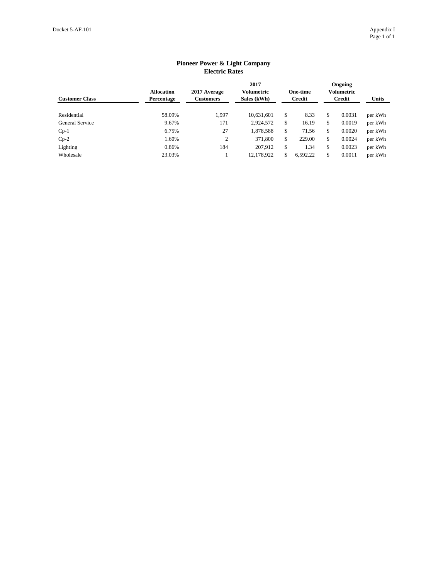|                        | песніе імпер                           |                                  |                                   |    |                                  |    |                                 |              |  |  |  |  |
|------------------------|----------------------------------------|----------------------------------|-----------------------------------|----|----------------------------------|----|---------------------------------|--------------|--|--|--|--|
| <b>Customer Class</b>  | <b>Allocation</b><br><b>Percentage</b> | 2017 Average<br><b>Customers</b> | 2017<br>Volumetric<br>Sales (kWh) |    | <b>One-time</b><br><b>Credit</b> |    | Ongoing<br>Volumetric<br>Credit | <b>Units</b> |  |  |  |  |
| Residential            | 58.09%                                 | 1,997                            | 10,631,601                        | \$ | 8.33                             | \$ | 0.0031                          | per kWh      |  |  |  |  |
| <b>General Service</b> | 9.67%                                  | 171                              | 2,924,572                         | \$ | 16.19                            | \$ | 0.0019                          | per kWh      |  |  |  |  |
| $Cp-1$                 | 6.75%                                  | 27                               | 1,878,588                         | \$ | 71.56                            | \$ | 0.0020                          | per kWh      |  |  |  |  |
| $Cp-2$                 | 1.60%                                  | 2                                | 371,800                           | \$ | 229.00                           | \$ | 0.0024                          | per kWh      |  |  |  |  |
| Lighting               | 0.86%                                  | 184                              | 207,912                           | \$ | 1.34                             | \$ | 0.0023                          | per kWh      |  |  |  |  |
| Wholesale              | 23.03%                                 |                                  | 12,178,922                        | S. | 6,592.22                         | \$ | 0.0011                          | per kWh      |  |  |  |  |

## **Pioneer Power & Light Company Electric Rates**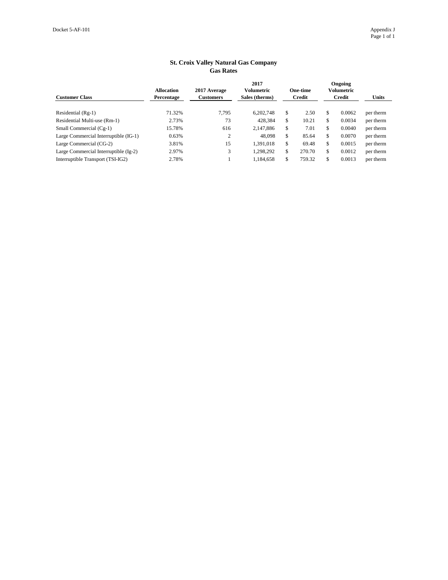| <b>Customer Class</b>                 | <b>Allocation</b><br>Percentage | 2017 Average<br><b>Customers</b> | 2017<br>Volumetric<br>Sales (therms) | <b>One-time</b><br>Credit | Ongoing<br><b>Volumetric</b><br>Credit | <b>Units</b> |
|---------------------------------------|---------------------------------|----------------------------------|--------------------------------------|---------------------------|----------------------------------------|--------------|
| Residential (Rg-1)                    | 71.32%                          | 7,795                            | 6,202,748                            | \$<br>2.50                | \$<br>0.0062                           | per therm    |
| Residential Multi-use (Rm-1)          | 2.73%                           | 73                               | 428,384                              | \$<br>10.21               | \$<br>0.0034                           | per therm    |
| Small Commercial (Cg-1)               | 15.78%                          | 616                              | 2,147,886                            | \$<br>7.01                | \$<br>0.0040                           | per therm    |
| Large Commercial Interruptible (IG-1) | 0.63%                           | 2                                | 48,098                               | \$<br>85.64               | \$<br>0.0070                           | per therm    |
| Large Commercial (CG-2)               | 3.81%                           | 15                               | 1,391,018                            | \$<br>69.48               | \$<br>0.0015                           | per therm    |
| Large Commercial Interruptible (Ig-2) | 2.97%                           | 3                                | 1,298,292                            | \$<br>270.70              | \$<br>0.0012                           | per therm    |
| Interruptible Transport (TSI-IG2)     | 2.78%                           |                                  | 1,184,658                            | 759.32                    | \$<br>0.0013                           | per therm    |

## **St. Croix Valley Natural Gas Company Gas Rates**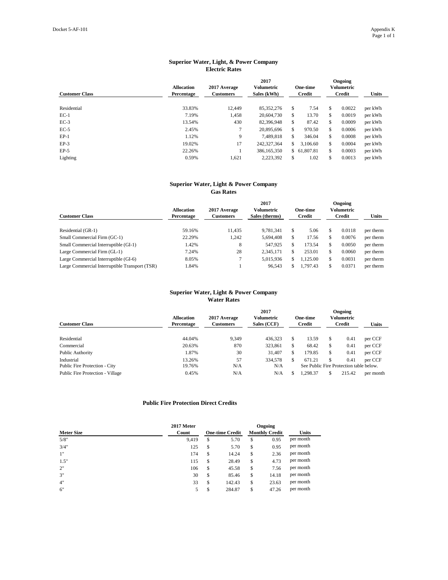| <b>Customer Class</b> | <b>Allocation</b><br>Percentage | 2017 Average<br><b>Customers</b> | 2017<br><b>Volumetric</b><br>Sales (kWh) |     | <b>One-time</b><br>Credit | Ongoing<br>Volumetric<br><b>Credit</b> |        | <b>Units</b> |
|-----------------------|---------------------------------|----------------------------------|------------------------------------------|-----|---------------------------|----------------------------------------|--------|--------------|
| Residential           | 33.83%                          | 12,449                           | 85, 352, 276                             | \$  | 7.54                      | \$                                     | 0.0022 | per kWh      |
| $EC-1$                | 7.19%                           | 1,458                            | 20,604,730                               | \$. | 13.70                     | \$                                     | 0.0019 | per kWh      |
| $EC-3$                | 13.54%                          | 430                              | 82,396,948                               | \$  | 87.42                     | \$                                     | 0.0009 | per kWh      |
| $EC-5$                | 2.45%                           |                                  | 20,895,696                               | \$. | 970.50                    | \$                                     | 0.0006 | per kWh      |
| $EP-1$                | 1.12%                           | 9                                | 7,489,818                                | \$. | 346.04                    | \$                                     | 0.0008 | per kWh      |
| $EP-3$                | 19.02%                          | 17                               | 242,327,364                              | \$. | 3,106.60                  | \$                                     | 0.0004 | per kWh      |
| $EP-5$                | 22.26%                          |                                  | 386,165,350                              | \$  | 61,807.81                 | \$                                     | 0.0003 | per kWh      |
| Lighting              | 0.59%                           | 1,621                            | 2,223,392                                | \$  | 1.02                      | \$                                     | 0.0013 | per kWh      |

| <b>Customer Class</b>                          | <b>Allocation</b><br>Percentage | 2017 Average<br><b>Customers</b> | 2017<br>Volumetric<br>Sales (therms) |     | <b>One-time</b><br>Credit |     | <b>Ongoing</b><br>Volumetric<br>Credit | <b>Units</b> |
|------------------------------------------------|---------------------------------|----------------------------------|--------------------------------------|-----|---------------------------|-----|----------------------------------------|--------------|
| Residential (GR-1)                             | 59.16%                          | 11,435                           | 9.781.341                            | S   | 5.06                      |     | 0.0118                                 | per therm    |
| Small Commercial Firm (GC-1)                   | 22.29%                          | 1,242                            | 5,694,408                            |     | 17.56                     | S   | 0.0076                                 | per therm    |
| Small Commercial Interruptible (GI-1)          | 1.42%                           | 8                                | 547,925                              | ۰Β  | 173.54                    | ъĐ. | 0.0050                                 | per therm    |
| Large Commercial Firm (GL-1)                   | 7.24%                           | 28                               | 2,345,171                            | ĴЪ. | 253.01                    | \$  | 0.0060                                 | per therm    |
| Large Commercial Interruptible (GI-6)          | 8.05%                           |                                  | 5,015,936                            | S   | ,125.00                   | S   | 0.0031                                 | per therm    |
| Large Commercial Interruptible Transport (TSR) | 1.84%                           |                                  | 96,543                               | S.  | 1.797.43                  |     | 0.0371                                 | per therm    |

| <b>Customer Class</b>                       | <b>Allocation</b><br><b>Percentage</b> | 2017 Average<br><b>Customers</b> | 2017<br>Volumetric<br>Sales (CCF) | <b>One-time</b><br>Credit |    | <b>Ongoing</b><br>Volumetric<br><b>Credit</b>   | <b>Units</b> |
|---------------------------------------------|----------------------------------------|----------------------------------|-----------------------------------|---------------------------|----|-------------------------------------------------|--------------|
| Residential                                 | 44.04%                                 | 9.349                            | 436.323                           | 13.59                     | S  | 0.41                                            | per CCF      |
| Commercial                                  | 20.63%                                 | 870                              | 323,861                           | 68.42                     | \$ | 0.41                                            | per CCF      |
| Public Authority                            | 1.87%                                  | 30                               | 31,407                            | 179.85                    |    | 0.41                                            | per CCF      |
| Industrial<br>Public Fire Protection - City | 13.26%<br>19.76%                       | 57<br>N/A                        | 334,578<br>N/A                    | 671.21                    |    | 0.41<br>See Public Fire Protection table below. | per CCF      |
| <b>Public Fire Protection - Village</b>     | 0.45%                                  | N/A                              | N/A                               | 1,298.37                  | \$ | 215.42                                          | per month    |

|                   | 2017 Meter |                        |                       | Ongoing |              |
|-------------------|------------|------------------------|-----------------------|---------|--------------|
| <b>Meter Size</b> | Count      | <b>One-time Credit</b> | <b>Monthly Credit</b> |         | <b>Units</b> |
| 5/8"              | 9,419      | \$<br>5.70             | \$                    | 0.95    | per month    |
| 3/4"              | 125        | \$<br>5.70             | \$                    | 0.95    | per month    |
| 1"                | 174        | \$<br>14.24            | \$                    | 2.36    | per month    |
| 1.5"              | 115        | \$<br>28.49            | \$                    | 4.73    | per month    |
| 2"                | 106        | \$<br>45.58            | \$                    | 7.56    | per month    |
| 3"                | 30         | \$<br>85.46            | \$                    | 14.18   | per month    |
| 4"                | 33         | \$<br>142.43           | \$                    | 23.63   | per month    |
| 6"                | 5          | \$<br>284.87           | \$                    | 47.26   | per month    |

## **Superior Water, Light, & Power Company Electric Rates**

# **Superior Water, Light & Power Company**

**Gas Rates**

## **Superior Water, Light & Power Company Water Rates**

## **Public Fire Protection Direct Credits**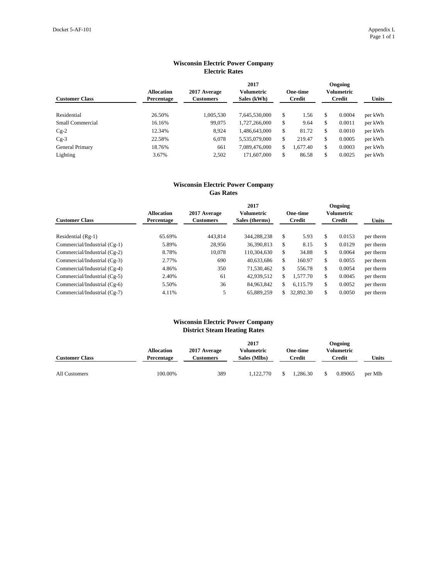| LIECUTE NATES         |                                 |                                  |                                          |    |                                  |    |                                        |              |  |  |
|-----------------------|---------------------------------|----------------------------------|------------------------------------------|----|----------------------------------|----|----------------------------------------|--------------|--|--|
| <b>Customer Class</b> | <b>Allocation</b><br>Percentage | 2017 Average<br><b>Customers</b> | 2017<br><b>Volumetric</b><br>Sales (kWh) |    | <b>One-time</b><br><b>Credit</b> |    | Ongoing<br>Volumetric<br><b>Credit</b> | <b>Units</b> |  |  |
|                       |                                 |                                  |                                          |    |                                  |    |                                        |              |  |  |
| Residential           | 26.50%                          | 1,005,530                        | 7,645,530,000                            | \$ | 1.56                             | \$ | 0.0004                                 | per kWh      |  |  |
| Small Commercial      | 16.16%                          | 99,075                           | 1,727,266,000                            | \$ | 9.64                             | \$ | 0.0011                                 | per kWh      |  |  |
| $Cg-2$                | 12.34%                          | 8.924                            | 1,486,643,000                            | \$ | 81.72                            | \$ | 0.0010                                 | per kWh      |  |  |
| $Cg-3$                | 22.58%                          | 6,078                            | 5,535,079,000                            | \$ | 219.47                           | \$ | 0.0005                                 | per kWh      |  |  |
| General Primary       | 18.76%                          | 661                              | 7,089,476,000                            | \$ | 1,677.40                         | \$ | 0.0003                                 | per kWh      |  |  |
| Lighting              | 3.67%                           | 2,502                            | 171,607,000                              | \$ | 86.58                            | \$ | 0.0025                                 | per kWh      |  |  |

## **Wisconsin Electric Power Company Electric Rates**

## **Wisconsin Electric Power Company Gas Rates**

| <b>Customer Class</b>        | <b>Allocation</b><br>Percentage | 2017 Average<br><b>Customers</b> | 2017<br>Volumetric<br>Sales (therms) |               | <b>One-time</b><br>Credit | Ongoing<br><b>Volumetric</b><br><b>Credit</b> |        | <b>Units</b> |
|------------------------------|---------------------------------|----------------------------------|--------------------------------------|---------------|---------------------------|-----------------------------------------------|--------|--------------|
| Residential $(Rg-1)$         | 65.69%                          | 443,814                          | 344,288,238                          | <sup>\$</sup> | 5.93                      | \$                                            | 0.0153 | per therm    |
| Commercial/Industrial (Cg-1) | 5.89%                           | 28,956                           | 36,390,813                           | \$            | 8.15                      | \$                                            | 0.0129 | per therm    |
| Commercial/Industrial (Cg-2) | 8.78%                           | 10,078                           | 110,304,630                          | \$            | 34.88                     | \$                                            | 0.0064 | per therm    |
| Commercial/Industrial (Cg-3) | 2.77%                           | 690                              | 40,633,686                           | \$            | 160.97                    | \$                                            | 0.0055 | per therm    |
| Commercial/Industrial (Cg-4) | 4.86%                           | 350                              | 71,530,462                           | \$            | 556.78                    | \$                                            | 0.0054 | per therm    |
| Commercial/Industrial (Cg-5) | 2.40%                           | 61                               | 42,939,512                           | \$            | 1.577.70                  | \$                                            | 0.0045 | per therm    |
| Commercial/Industrial (Cg-6) | 5.50%                           | 36                               | 84,963,842                           | \$.           | 6.115.79                  | \$                                            | 0.0052 | per therm    |
| Commercial/Industrial (Cg-7) | 4.11%                           | 5                                | 65.889.259                           | \$.           | 32,892.30                 | \$                                            | 0.0050 | per therm    |

## **Wisconsin Electric Power Company District Steam Heating Rates**

|                       |                   |              | 2017         |        | <b>Ongoing</b>  |        |              |         |
|-----------------------|-------------------|--------------|--------------|--------|-----------------|--------|--------------|---------|
|                       | <b>Allocation</b> | 2017 Average | Volumetric   |        | <b>One-time</b> |        | Volumetric   |         |
| <b>Customer Class</b> | <b>Percentage</b> | Customers    | Sales (Mlbs) | Credit |                 | Credit | <b>Units</b> |         |
|                       |                   |              |              |        |                 |        |              |         |
| All Customers         | 100.00%           | 389          | 1.122.770    |        | 1.286.30        |        | 0.89065      | per Mlb |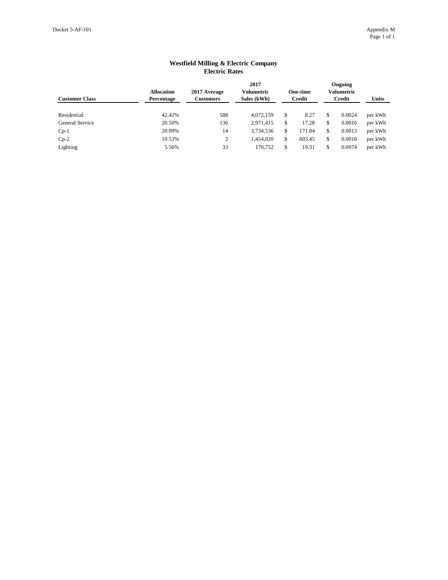| LIUULIU RAUUS          |                                 |                                  |                                          |    |                                  |    |                                        |              |  |  |  |  |  |
|------------------------|---------------------------------|----------------------------------|------------------------------------------|----|----------------------------------|----|----------------------------------------|--------------|--|--|--|--|--|
| <b>Customer Class</b>  | <b>Allocation</b><br>Percentage | 2017 Average<br><b>Customers</b> | 2017<br><b>Volumetric</b><br>Sales (kWh) |    | <b>One-time</b><br><b>Credit</b> |    | Ongoing<br><b>Volumetric</b><br>Credit | <b>Units</b> |  |  |  |  |  |
| Residential            | 42.42%                          | 588                              | 4,072,159                                | \$ | 8.27                             | \$ | 0.0024                                 | per kWh      |  |  |  |  |  |
| <b>General Service</b> | 20.50%                          | 136                              | 2,971,415                                | \$ | 17.28                            | \$ | 0.0016                                 | per kWh      |  |  |  |  |  |
| $Cp-1$                 | 20.99%                          | 14                               | 3,734,536                                | \$ | 171.84                           | \$ | 0.0013                                 | per kWh      |  |  |  |  |  |
| $Cp-2$                 | 10.53%                          | 2                                | 1,454,020                                | \$ | 603.45                           | \$ | 0.0016                                 | per kWh      |  |  |  |  |  |
| Lighting               | 5.56%                           | 33                               | 170,752                                  | \$ | 19.31                            | \$ | 0.0074                                 | per kWh      |  |  |  |  |  |

## **Westfield Milling & Electric Company Electric Rates**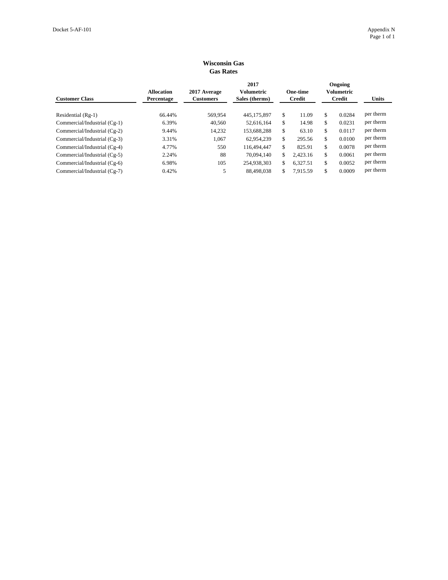| <b>UUS INANS</b>             |                                 |                                  |                                             |    |                                  |    |                                               |              |  |  |  |  |  |
|------------------------------|---------------------------------|----------------------------------|---------------------------------------------|----|----------------------------------|----|-----------------------------------------------|--------------|--|--|--|--|--|
| <b>Customer Class</b>        | <b>Allocation</b><br>Percentage | 2017 Average<br><b>Customers</b> | 2017<br><b>Volumetric</b><br>Sales (therms) |    | <b>One-time</b><br><b>Credit</b> |    | Ongoing<br><b>Volumetric</b><br><b>Credit</b> | <b>Units</b> |  |  |  |  |  |
|                              | 66.44%                          |                                  |                                             | \$ | 11.09                            | \$ | 0.0284                                        | per therm    |  |  |  |  |  |
| Residential (Rg-1)           |                                 | 569,954                          | 445,175,897                                 |    |                                  |    |                                               | per therm    |  |  |  |  |  |
| Commercial/Industrial (Cg-1) | 6.39%                           | 40,560                           | 52,616,164                                  | \$ | 14.98                            | \$ | 0.0231                                        |              |  |  |  |  |  |
| Commercial/Industrial (Cg-2) | 9.44%                           | 14,232                           | 153,688,288                                 | \$ | 63.10                            | \$ | 0.0117                                        | per therm    |  |  |  |  |  |
| Commercial/Industrial (Cg-3) | 3.31%                           | 1,067                            | 62.954.239                                  | \$ | 295.56                           | \$ | 0.0100                                        | per therm    |  |  |  |  |  |
| Commercial/Industrial (Cg-4) | 4.77%                           | 550                              | 116,494,447                                 | \$ | 825.91                           | \$ | 0.0078                                        | per therm    |  |  |  |  |  |
| Commercial/Industrial (Cg-5) | 2.24%                           | 88                               | 70.094.140                                  | \$ | 2,423.16                         | \$ | 0.0061                                        | per therm    |  |  |  |  |  |
| Commercial/Industrial (Cg-6) | 6.98%                           | 105                              | 254,938,303                                 | \$ | 6,327.51                         | \$ | 0.0052                                        | per therm    |  |  |  |  |  |
| Commercial/Industrial (Cg-7) | 0.42%                           | 5                                | 88.498.038                                  | \$ | 7.915.59                         | \$ | 0.0009                                        | per therm    |  |  |  |  |  |

## **Wisconsin Gas Gas Rates**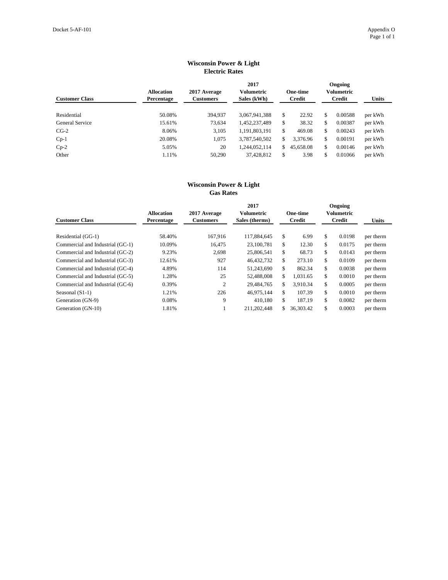| <b>Allocation</b><br>Percentage | 2017 Average<br><b>Customers</b> | 2017<br><b>Volumetric</b><br>Sales (kWh) |                                 |           | <b>Units</b>                                               |         |                                                   |  |  |  |  |  |  |
|---------------------------------|----------------------------------|------------------------------------------|---------------------------------|-----------|------------------------------------------------------------|---------|---------------------------------------------------|--|--|--|--|--|--|
|                                 |                                  |                                          |                                 |           |                                                            |         |                                                   |  |  |  |  |  |  |
|                                 |                                  |                                          |                                 |           |                                                            |         | per kWh                                           |  |  |  |  |  |  |
| 15.61%                          | 73,634                           | 1,452,237,489                            | \$                              | 38.32     | \$                                                         | 0.00387 | per kWh                                           |  |  |  |  |  |  |
| 8.06%                           | 3,105                            | 1,191,803,191                            | \$                              | 469.08    | \$                                                         | 0.00243 | per kWh                                           |  |  |  |  |  |  |
| 20.08%                          | 1,075                            | 3,787,540,502                            | \$                              | 3,376.96  | \$                                                         | 0.00191 | per kWh                                           |  |  |  |  |  |  |
| 5.05%                           | 20                               | 1,244,052,114                            |                                 | 45,658.08 | \$                                                         | 0.00146 | per kWh                                           |  |  |  |  |  |  |
| 1.11%                           | 50,290                           | 37,428,812                               | \$                              | 3.98      | \$                                                         | 0.01066 | per kWh                                           |  |  |  |  |  |  |
|                                 | 50.08%                           | 394,937                                  | LICULIU IXAICS<br>3,067,941,388 | \$        | <b>One-time</b><br><b>Credit</b><br>22.92<br><sup>\$</sup> | \$      | Ongoing<br>Volumetric<br><b>Credit</b><br>0.00588 |  |  |  |  |  |  |

## **Wisconsin Power & Light Electric Rates**

## **Wisconsin Power & Light Gas Rates**

| <b>Customer Class</b>            | <b>Allocation</b><br>Percentage | 2017 Average<br><b>Customers</b> | 2017<br>Volumetric<br>Sales (therms) |    | <b>One-time</b><br><b>Credit</b> | Ongoing<br>Volumetric<br><b>Credit</b> | <b>Units</b> |
|----------------------------------|---------------------------------|----------------------------------|--------------------------------------|----|----------------------------------|----------------------------------------|--------------|
| Residential (GG-1)               | 58.40%                          | 167,916                          | 117,884,645                          | \$ | 6.99                             | \$<br>0.0198                           | per therm    |
| Commercial and Industrial (GC-1) | 10.09%                          | 16,475                           | 23,100,781                           | \$ | 12.30                            | \$<br>0.0175                           | per therm    |
| Commercial and Industrial (GC-2) | 9.23%                           | 2,698                            | 25,806,541                           | \$ | 68.73                            | \$<br>0.0143                           | per therm    |
| Commercial and Industrial (GC-3) | 12.61%                          | 927                              | 46, 432, 732                         | \$ | 273.10                           | \$<br>0.0109                           | per therm    |
| Commercial and Industrial (GC-4) | 4.89%                           | 114                              | 51,243,690                           | \$ | 862.34                           | \$<br>0.0038                           | per therm    |
| Commercial and Industrial (GC-5) | 1.28%                           | 25                               | 52,488,008                           | \$ | 1.031.65                         | \$<br>0.0010                           | per therm    |
| Commercial and Industrial (GC-6) | 0.39%                           | $\overline{2}$                   | 29,484,765                           | \$ | 3.910.34                         | \$<br>0.0005                           | per therm    |
| Seasonal (S1-1)                  | 1.21%                           | 226                              | 46,975,144                           | \$ | 107.39                           | \$<br>0.0010                           | per therm    |
| Generation (GN-9)                | 0.08%                           | 9                                | 410,180                              | \$ | 187.19                           | \$<br>0.0082                           | per therm    |
| Generation (GN-10)               | 1.81%                           |                                  | 211,202,448                          | S. | 36,303.42                        | \$<br>0.0003                           | per therm    |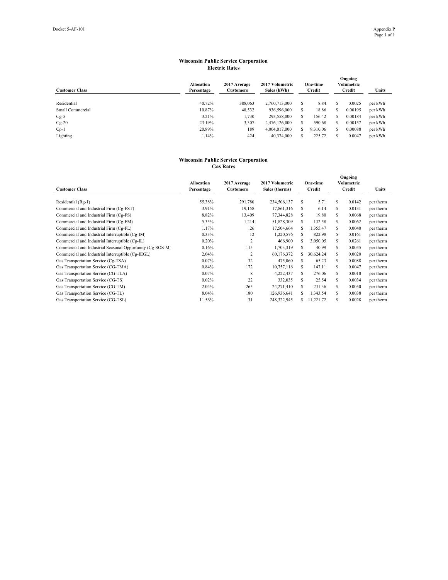#### **Wisconsin Public Service Corporation Electric Rates**

| <b>Customer Class</b> | <b>Allocation</b><br>Percentage | 2017 Average<br><b>Customers</b> | 2017 Volumetric<br>Sales (kWh) | One-time<br>Credit |          | Ongoing<br>Volumetric<br>Credit |         | Units   |  |
|-----------------------|---------------------------------|----------------------------------|--------------------------------|--------------------|----------|---------------------------------|---------|---------|--|
| Residential           | 40.72%                          | 388,063                          | 2.760,713,000                  | S                  | 8.84     | S                               | 0.0025  | per kWh |  |
| Small Commercial      | 10.87%                          | 48,532                           | 936,596,000                    |                    | 18.86    |                                 | 0.00195 | per kWh |  |
| $Cg-5$                | 3.21%                           | 1,730                            | 293,558,000                    | S                  | 156.42   | S                               | 0.00184 | per kWh |  |
| $Cg-20$               | 23.19%                          | 3,307                            | 2,476,126,000                  | S                  | 590.68   | S                               | 0.00157 | per kWh |  |
| $Cp-1$                | 20.89%                          | 189                              | 4,004,017,000                  | S                  | 9.310.06 | S                               | 0.00088 | per kWh |  |
| Lighting              | 1.14%                           | 424                              | 40,374,000                     | s                  | 225.72   | S                               | 0.0047  | per kWh |  |

#### **Wisconsin Public Service Corporation Gas Rates**

| <b>Customer Class</b>                                     | <b>Allocation</b><br>Percentage | 2017 Average<br><b>Customers</b> | 2017 Volumetric<br>Sales (therms) |    | One-time<br>Credit |    | Ongoing<br>Volumetric<br>Credit | Units     |
|-----------------------------------------------------------|---------------------------------|----------------------------------|-----------------------------------|----|--------------------|----|---------------------------------|-----------|
| Residential (Rg-1)                                        | 55.38%                          | 291,780                          | 234,506,137                       | s  | 5.71               | S  | 0.0142                          | per therm |
| Commercial and Industrial Firm (Cg-FST)                   | 3.91%                           | 19,158                           | 17,861,316                        | S  | 6.14               | \$ | 0.0131                          | per therm |
| Commercial and Industrial Firm (Cg-FS)                    | 8.82%                           | 13,409                           | 77,344,828                        | s  | 19.80              | \$ | 0.0068                          | per therm |
| Commercial and Industrial Firm (Cg-FM)                    | 5.35%                           | 1,214                            | 51,828,309                        | S  | 132.58             | \$ | 0.0062                          | per therm |
| Commercial and Industrial Firm (Cg-FL)                    | 1.17%                           | 26                               | 17,504,664                        | S  | 1,355.47           | \$ | 0.0040                          | per therm |
| Commercial and Industrial Interruptible (Cg-IM)           | 0.33%                           | 12                               | 1,220,576                         | S. | 822.98             | \$ | 0.0161                          | per therm |
| Commercial and Industrial Interruptible (Cg-IL)           | 0.20%                           | 2                                | 466,900                           | S. | 3,050.05           | \$ | 0.0261                          | per therm |
| Commercial and Industrial Seasonal Opportunity (Cg-SOS-M) | 0.16%                           | 115                              | 1,703,319                         | S  | 40.99              | \$ | 0.0055                          | per therm |
| Commercial and Industrial Interruptible (Cg-IEGL)         | 2.04%                           | $\overline{c}$                   | 60,176,372                        | S. | 30,624.24          | \$ | 0.0020                          | per therm |
| Gas Transportation Service (Cg-TSA)                       | 0.07%                           | 32                               | 475,060                           | s  | 65.23              | \$ | 0.0088                          | per therm |
| Gas Transportation Service (CG-TMA)                       | 0.84%                           | 172                              | 10,757,116                        | S. | 147.11             | \$ | 0.0047                          | per therm |
| Gas Transportation Service (CG-TLA)                       | 0.07%                           | 8                                | 4,222,437                         | s  | 276.06             | \$ | 0.0010                          | per therm |
| Gas Transportation Service (CG-TS)                        | 0.02%                           | 22                               | 332,035                           | S  | 25.54              | S  | 0.0034                          | per therm |
| Gas Transportation Service (CG-TM)                        | 2.04%                           | 265                              | 24,271,410                        | S  | 231.36             | \$ | 0.0050                          | per therm |
| Gas Transportation Service (CG-TL)                        | 8.04%                           | 180                              | 126,936,641                       | s  | 1,343.54           | \$ | 0.0038                          | per therm |
| Gas Transportation Service (CG-TSL)                       | 11.56%                          | 31                               | 248,322,945                       |    | 11,221.72          | \$ | 0.0028                          | per therm |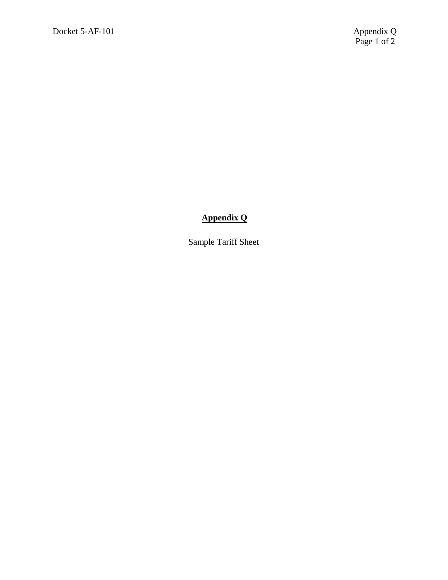## **Appendix Q**

Sample Tariff Sheet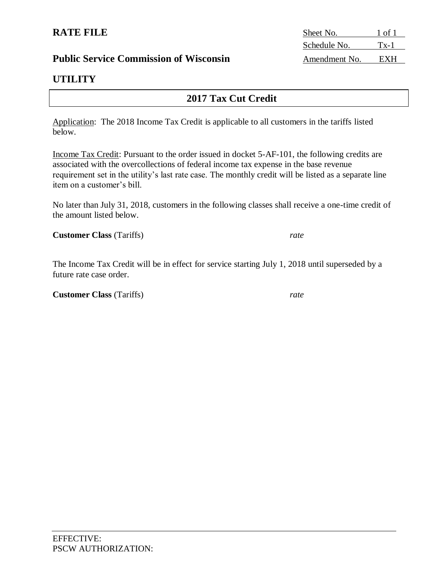## **Public Service Commission of Wisconsin** Amendment No. EXH

## **UTILITY**

## **2017 Tax Cut Credit**

Application: The 2018 Income Tax Credit is applicable to all customers in the tariffs listed below.

Income Tax Credit: Pursuant to the order issued in docket 5-AF-101, the following credits are associated with the overcollections of federal income tax expense in the base revenue requirement set in the utility's last rate case. The monthly credit will be listed as a separate line item on a customer's bill.

No later than July 31, 2018, customers in the following classes shall receive a one-time credit of the amount listed below.

**Customer Class** (Tariffs) *rate*

The Income Tax Credit will be in effect for service starting July 1, 2018 until superseded by a future rate case order.

**Customer Class** (Tariffs) *rate*

**RATE FILE** Sheet No. 1 of 1 Schedule No. Tx-1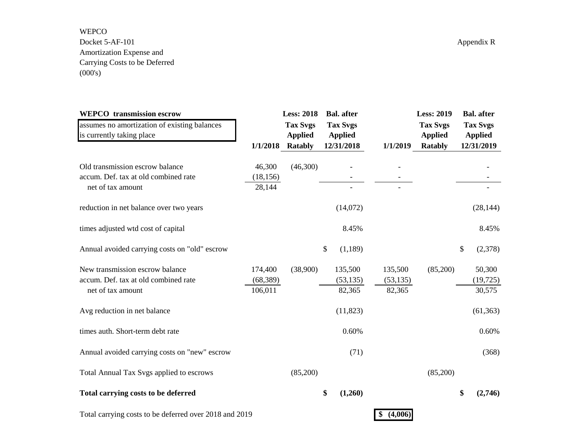WEPCO Docket 5-AF-101 Appendix R Amortization Expense and Carrying Costs to be Deferred  $(000's)$ 

| <b>WEPCO</b> transmission escrow                       |           | <b>Less: 2018</b> | <b>Bal.</b> after |               | <b>Less: 2019</b> | <b>Bal.</b> after |
|--------------------------------------------------------|-----------|-------------------|-------------------|---------------|-------------------|-------------------|
| assumes no amortization of existing balances           |           | <b>Tax Svgs</b>   | <b>Tax Svgs</b>   |               | <b>Tax Svgs</b>   | <b>Tax Svgs</b>   |
| is currently taking place                              |           | <b>Applied</b>    | <b>Applied</b>    |               | <b>Applied</b>    | <b>Applied</b>    |
|                                                        | 1/1/2018  | Ratably           | 12/31/2018        | 1/1/2019      | <b>Ratably</b>    | 12/31/2019        |
| Old transmission escrow balance                        | 46,300    | (46,300)          |                   |               |                   |                   |
| accum. Def. tax at old combined rate                   | (18, 156) |                   |                   |               |                   |                   |
| net of tax amount                                      | 28,144    |                   |                   |               |                   |                   |
| reduction in net balance over two years                |           |                   | (14,072)          |               |                   | (28, 144)         |
| times adjusted wtd cost of capital                     |           |                   | 8.45%             |               |                   | 8.45%             |
| Annual avoided carrying costs on "old" escrow          |           |                   | \$<br>(1,189)     |               |                   | \$<br>(2,378)     |
| New transmission escrow balance                        | 174,400   | (38,900)          | 135,500           | 135,500       | (85,200)          | 50,300            |
| accum. Def. tax at old combined rate                   | (68, 389) |                   | (53, 135)         | (53, 135)     |                   | (19, 725)         |
| net of tax amount                                      | 106,011   |                   | 82,365            | 82,365        |                   | 30,575            |
| Avg reduction in net balance                           |           |                   | (11, 823)         |               |                   | (61, 363)         |
| times auth. Short-term debt rate                       |           |                   | 0.60%             |               |                   | 0.60%             |
| Annual avoided carrying costs on "new" escrow          |           |                   | (71)              |               |                   | (368)             |
| Total Annual Tax Svgs applied to escrows               |           | (85,200)          |                   |               | (85,200)          |                   |
| Total carrying costs to be deferred                    |           |                   | \$<br>(1,260)     |               |                   | \$<br>(2,746)     |
| Total carrying costs to be deferred over 2018 and 2019 |           |                   |                   | (4,006)<br>\$ |                   |                   |